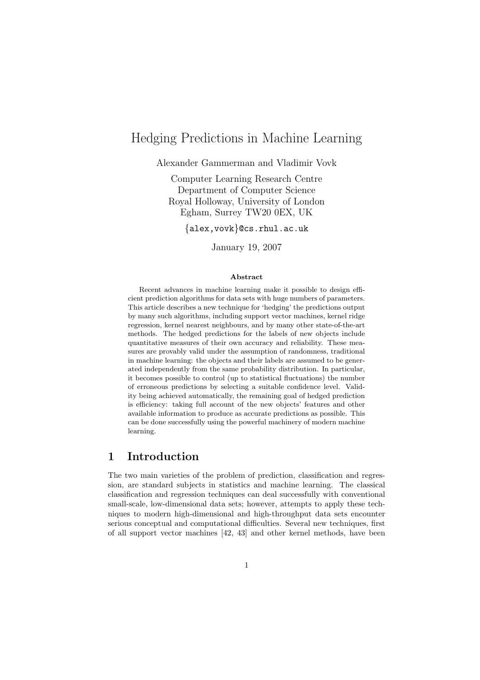# Hedging Predictions in Machine Learning

Alexander Gammerman and Vladimir Vovk

Computer Learning Research Centre Department of Computer Science Royal Holloway, University of London Egham, Surrey TW20 0EX, UK

{alex,vovk}@cs.rhul.ac.uk

January 19, 2007

#### Abstract

Recent advances in machine learning make it possible to design efficient prediction algorithms for data sets with huge numbers of parameters. This article describes a new technique for 'hedging' the predictions output by many such algorithms, including support vector machines, kernel ridge regression, kernel nearest neighbours, and by many other state-of-the-art methods. The hedged predictions for the labels of new objects include quantitative measures of their own accuracy and reliability. These measures are provably valid under the assumption of randomness, traditional in machine learning: the objects and their labels are assumed to be generated independently from the same probability distribution. In particular, it becomes possible to control (up to statistical fluctuations) the number of erroneous predictions by selecting a suitable confidence level. Validity being achieved automatically, the remaining goal of hedged prediction is efficiency: taking full account of the new objects' features and other available information to produce as accurate predictions as possible. This can be done successfully using the powerful machinery of modern machine learning.

# 1 Introduction

The two main varieties of the problem of prediction, classification and regression, are standard subjects in statistics and machine learning. The classical classification and regression techniques can deal successfully with conventional small-scale, low-dimensional data sets; however, attempts to apply these techniques to modern high-dimensional and high-throughput data sets encounter serious conceptual and computational difficulties. Several new techniques, first of all support vector machines [42, 43] and other kernel methods, have been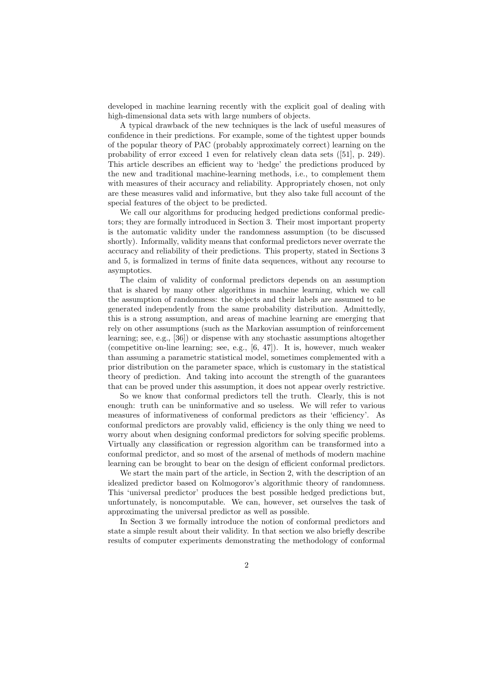developed in machine learning recently with the explicit goal of dealing with high-dimensional data sets with large numbers of objects.

A typical drawback of the new techniques is the lack of useful measures of confidence in their predictions. For example, some of the tightest upper bounds of the popular theory of PAC (probably approximately correct) learning on the probability of error exceed 1 even for relatively clean data sets ([51], p. 249). This article describes an efficient way to 'hedge' the predictions produced by the new and traditional machine-learning methods, i.e., to complement them with measures of their accuracy and reliability. Appropriately chosen, not only are these measures valid and informative, but they also take full account of the special features of the object to be predicted.

We call our algorithms for producing hedged predictions conformal predictors; they are formally introduced in Section 3. Their most important property is the automatic validity under the randomness assumption (to be discussed shortly). Informally, validity means that conformal predictors never overrate the accuracy and reliability of their predictions. This property, stated in Sections 3 and 5, is formalized in terms of finite data sequences, without any recourse to asymptotics.

The claim of validity of conformal predictors depends on an assumption that is shared by many other algorithms in machine learning, which we call the assumption of randomness: the objects and their labels are assumed to be generated independently from the same probability distribution. Admittedly, this is a strong assumption, and areas of machine learning are emerging that rely on other assumptions (such as the Markovian assumption of reinforcement learning; see, e.g., [36]) or dispense with any stochastic assumptions altogether (competitive on-line learning; see, e.g., [6, 47]). It is, however, much weaker than assuming a parametric statistical model, sometimes complemented with a prior distribution on the parameter space, which is customary in the statistical theory of prediction. And taking into account the strength of the guarantees that can be proved under this assumption, it does not appear overly restrictive.

So we know that conformal predictors tell the truth. Clearly, this is not enough: truth can be uninformative and so useless. We will refer to various measures of informativeness of conformal predictors as their 'efficiency'. As conformal predictors are provably valid, efficiency is the only thing we need to worry about when designing conformal predictors for solving specific problems. Virtually any classification or regression algorithm can be transformed into a conformal predictor, and so most of the arsenal of methods of modern machine learning can be brought to bear on the design of efficient conformal predictors.

We start the main part of the article, in Section 2, with the description of an idealized predictor based on Kolmogorov's algorithmic theory of randomness. This 'universal predictor' produces the best possible hedged predictions but, unfortunately, is noncomputable. We can, however, set ourselves the task of approximating the universal predictor as well as possible.

In Section 3 we formally introduce the notion of conformal predictors and state a simple result about their validity. In that section we also briefly describe results of computer experiments demonstrating the methodology of conformal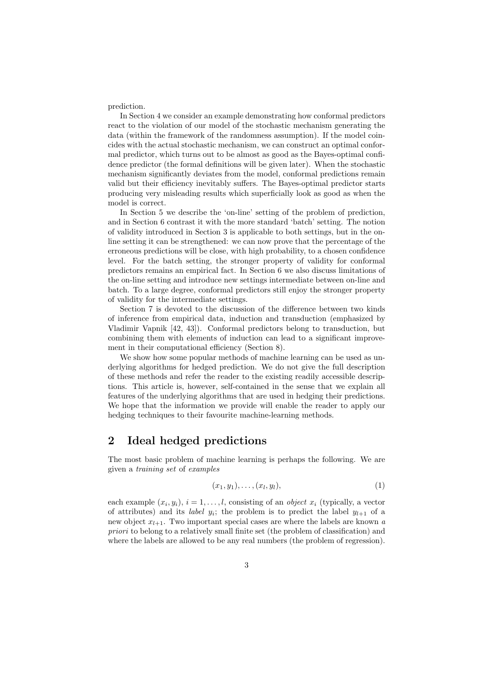prediction.

In Section 4 we consider an example demonstrating how conformal predictors react to the violation of our model of the stochastic mechanism generating the data (within the framework of the randomness assumption). If the model coincides with the actual stochastic mechanism, we can construct an optimal conformal predictor, which turns out to be almost as good as the Bayes-optimal confidence predictor (the formal definitions will be given later). When the stochastic mechanism significantly deviates from the model, conformal predictions remain valid but their efficiency inevitably suffers. The Bayes-optimal predictor starts producing very misleading results which superficially look as good as when the model is correct.

In Section 5 we describe the 'on-line' setting of the problem of prediction, and in Section 6 contrast it with the more standard 'batch' setting. The notion of validity introduced in Section 3 is applicable to both settings, but in the online setting it can be strengthened: we can now prove that the percentage of the erroneous predictions will be close, with high probability, to a chosen confidence level. For the batch setting, the stronger property of validity for conformal predictors remains an empirical fact. In Section 6 we also discuss limitations of the on-line setting and introduce new settings intermediate between on-line and batch. To a large degree, conformal predictors still enjoy the stronger property of validity for the intermediate settings.

Section 7 is devoted to the discussion of the difference between two kinds of inference from empirical data, induction and transduction (emphasized by Vladimir Vapnik [42, 43]). Conformal predictors belong to transduction, but combining them with elements of induction can lead to a significant improvement in their computational efficiency (Section 8).

We show how some popular methods of machine learning can be used as underlying algorithms for hedged prediction. We do not give the full description of these methods and refer the reader to the existing readily accessible descriptions. This article is, however, self-contained in the sense that we explain all features of the underlying algorithms that are used in hedging their predictions. We hope that the information we provide will enable the reader to apply our hedging techniques to their favourite machine-learning methods.

# 2 Ideal hedged predictions

The most basic problem of machine learning is perhaps the following. We are given a training set of examples

$$
(x_1, y_1), \ldots, (x_l, y_l), \tag{1}
$$

each example  $(x_i, y_i)$ ,  $i = 1, \ldots, l$ , consisting of an *object*  $x_i$  (typically, a vector of attributes) and its *label*  $y_i$ ; the problem is to predict the label  $y_{l+1}$  of a new object  $x_{l+1}$ . Two important special cases are where the labels are known a priori to belong to a relatively small finite set (the problem of classification) and where the labels are allowed to be any real numbers (the problem of regression).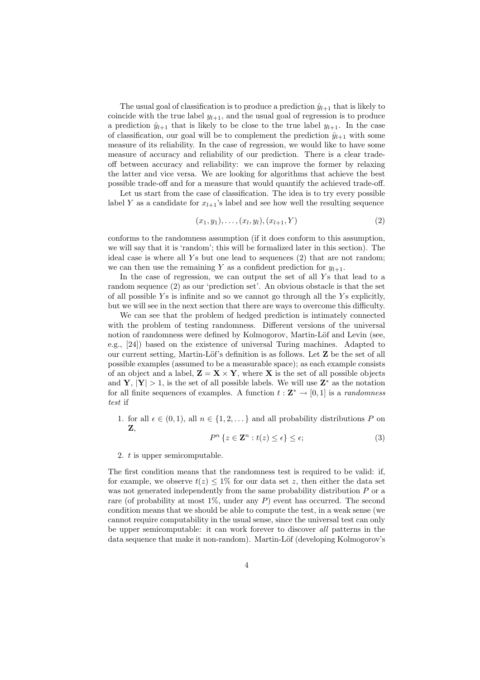The usual goal of classification is to produce a prediction  $\hat{y}_{l+1}$  that is likely to coincide with the true label  $y_{l+1}$ , and the usual goal of regression is to produce a prediction  $\hat{y}_{l+1}$  that is likely to be close to the true label  $y_{l+1}$ . In the case of classification, our goal will be to complement the prediction  $\hat{y}_{l+1}$  with some measure of its reliability. In the case of regression, we would like to have some measure of accuracy and reliability of our prediction. There is a clear tradeoff between accuracy and reliability: we can improve the former by relaxing the latter and vice versa. We are looking for algorithms that achieve the best possible trade-off and for a measure that would quantify the achieved trade-off.

Let us start from the case of classification. The idea is to try every possible label Y as a candidate for  $x_{l+1}$ 's label and see how well the resulting sequence

$$
(x_1, y_1), \ldots, (x_l, y_l), (x_{l+1}, Y) \tag{2}
$$

conforms to the randomness assumption (if it does conform to this assumption, we will say that it is 'random'; this will be formalized later in this section). The ideal case is where all  $Y_s$  but one lead to sequences (2) that are not random; we can then use the remaining Y as a confident prediction for  $y_{l+1}$ .

In the case of regression, we can output the set of all Ys that lead to a random sequence (2) as our 'prediction set'. An obvious obstacle is that the set of all possible  $Y_s$  is infinite and so we cannot go through all the  $Y_s$  explicitly, but we will see in the next section that there are ways to overcome this difficulty.

We can see that the problem of hedged prediction is intimately connected with the problem of testing randomness. Different versions of the universal notion of randomness were defined by Kolmogorov, Martin-Löf and Levin (see, e.g., [24]) based on the existence of universal Turing machines. Adapted to our current setting, Martin-Löf's definition is as follows. Let  $Z$  be the set of all possible examples (assumed to be a measurable space); as each example consists of an object and a label,  $\mathbf{Z} = \mathbf{X} \times \mathbf{Y}$ , where **X** is the set of all possible objects and Y,  $|Y| > 1$ , is the set of all possible labels. We will use  $\mathbb{Z}^*$  as the notation for all finite sequences of examples. A function  $t : \mathbf{Z}^* \to [0,1]$  is a *randomness* test if

1. for all  $\epsilon \in (0,1)$ , all  $n \in \{1,2,\ldots\}$  and all probability distributions P on  $Z$ .

$$
P^n \{ z \in \mathbf{Z}^n : t(z) \le \epsilon \} \le \epsilon; \tag{3}
$$

2. t is upper semicomputable.

The first condition means that the randomness test is required to be valid: if, for example, we observe  $t(z) \leq 1\%$  for our data set z, then either the data set was not generated independently from the same probability distribution  $P$  or a rare (of probability at most  $1\%$ , under any P) event has occurred. The second condition means that we should be able to compute the test, in a weak sense (we cannot require computability in the usual sense, since the universal test can only be upper semicomputable: it can work forever to discover all patterns in the data sequence that make it non-random). Martin-Löf (developing Kolmogorov's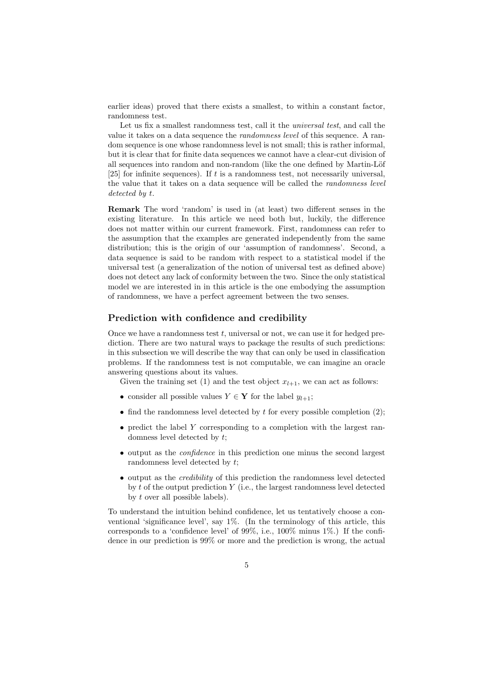earlier ideas) proved that there exists a smallest, to within a constant factor, randomness test.

Let us fix a smallest randomness test, call it the *universal test*, and call the value it takes on a data sequence the randomness level of this sequence. A random sequence is one whose randomness level is not small; this is rather informal, but it is clear that for finite data sequences we cannot have a clear-cut division of all sequences into random and non-random (like the one defined by Martin-Löf [25] for infinite sequences). If t is a randomness test, not necessarily universal, the value that it takes on a data sequence will be called the randomness level detected by t.

Remark The word 'random' is used in (at least) two different senses in the existing literature. In this article we need both but, luckily, the difference does not matter within our current framework. First, randomness can refer to the assumption that the examples are generated independently from the same distribution; this is the origin of our 'assumption of randomness'. Second, a data sequence is said to be random with respect to a statistical model if the universal test (a generalization of the notion of universal test as defined above) does not detect any lack of conformity between the two. Since the only statistical model we are interested in in this article is the one embodying the assumption of randomness, we have a perfect agreement between the two senses.

# Prediction with confidence and credibility

Once we have a randomness test t, universal or not, we can use it for hedged prediction. There are two natural ways to package the results of such predictions: in this subsection we will describe the way that can only be used in classification problems. If the randomness test is not computable, we can imagine an oracle answering questions about its values.

Given the training set (1) and the test object  $x_{l+1}$ , we can act as follows:

- consider all possible values  $Y \in \mathbf{Y}$  for the label  $y_{l+1}$ ;
- find the randomness level detected by  $t$  for every possible completion (2);
- predict the label Y corresponding to a completion with the largest randomness level detected by t;
- output as the *confidence* in this prediction one minus the second largest randomness level detected by t;
- output as the credibility of this prediction the randomness level detected by  $t$  of the output prediction  $Y$  (i.e., the largest randomness level detected by t over all possible labels).

To understand the intuition behind confidence, let us tentatively choose a conventional 'significance level', say 1%. (In the terminology of this article, this corresponds to a 'confidence level' of 99%, i.e., 100% minus 1%.) If the confidence in our prediction is 99% or more and the prediction is wrong, the actual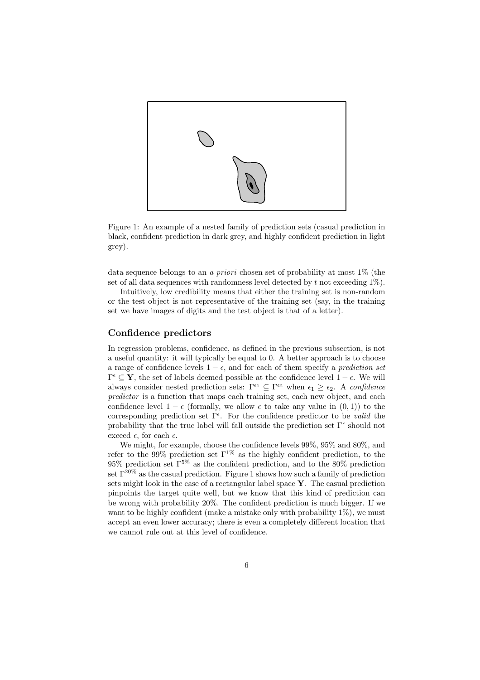

Figure 1: An example of a nested family of prediction sets (casual prediction in black, confident prediction in dark grey, and highly confident prediction in light grey).

data sequence belongs to an *a priori* chosen set of probability at most  $1\%$  (the set of all data sequences with randomness level detected by  $t$  not exceeding 1%).

Intuitively, low credibility means that either the training set is non-random or the test object is not representative of the training set (say, in the training set we have images of digits and the test object is that of a letter).

# Confidence predictors

In regression problems, confidence, as defined in the previous subsection, is not a useful quantity: it will typically be equal to 0. A better approach is to choose a range of confidence levels  $1 - \epsilon$ , and for each of them specify a *prediction set*  $\Gamma^{\epsilon} \subseteq \mathbf{Y}$ , the set of labels deemed possible at the confidence level  $1 - \epsilon$ . We will always consider nested prediction sets:  $\Gamma^{\epsilon_1} \subseteq \Gamma^{\epsilon_2}$  when  $\epsilon_1 \geq \epsilon_2$ . A confidence predictor is a function that maps each training set, each new object, and each confidence level  $1 - \epsilon$  (formally, we allow  $\epsilon$  to take any value in  $(0, 1)$ ) to the corresponding prediction set  $\Gamma^{\epsilon}$ . For the confidence predictor to be valid the probability that the true label will fall outside the prediction set  $\Gamma^{\epsilon}$  should not exceed  $\epsilon$ , for each  $\epsilon$ .

We might, for example, choose the confidence levels 99%, 95% and 80%, and refer to the 99% prediction set  $\Gamma^{1\%}$  as the highly confident prediction, to the 95% prediction set  $\Gamma^{5\%}$  as the confident prediction, and to the 80% prediction set  $\Gamma^{20\%}$  as the casual prediction. Figure 1 shows how such a family of prediction sets might look in the case of a rectangular label space Y. The casual prediction pinpoints the target quite well, but we know that this kind of prediction can be wrong with probability 20%. The confident prediction is much bigger. If we want to be highly confident (make a mistake only with probability  $1\%$ ), we must accept an even lower accuracy; there is even a completely different location that we cannot rule out at this level of confidence.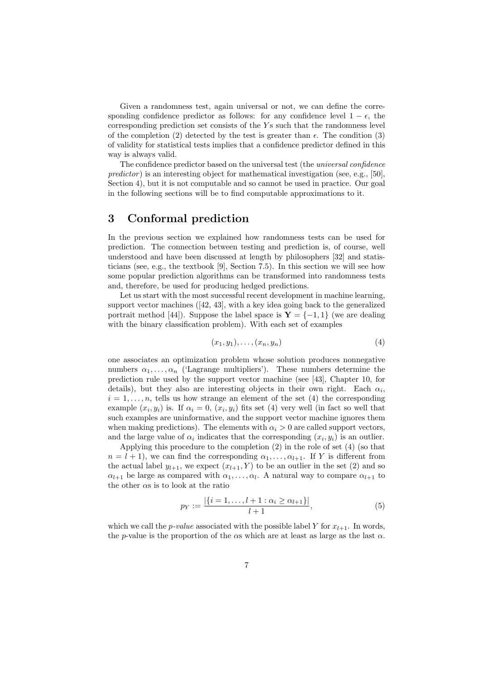Given a randomness test, again universal or not, we can define the corresponding confidence predictor as follows: for any confidence level  $1 - \epsilon$ , the corresponding prediction set consists of the Y<sub>s</sub> such that the randomness level of the completion (2) detected by the test is greater than  $\epsilon$ . The condition (3) of validity for statistical tests implies that a confidence predictor defined in this way is always valid.

The confidence predictor based on the universal test (the *universal confidence*  $predictor$ ) is an interesting object for mathematical investigation (see, e.g., [50], Section 4), but it is not computable and so cannot be used in practice. Our goal in the following sections will be to find computable approximations to it.

# 3 Conformal prediction

In the previous section we explained how randomness tests can be used for prediction. The connection between testing and prediction is, of course, well understood and have been discussed at length by philosophers [32] and statisticians (see, e.g., the textbook [9], Section 7.5). In this section we will see how some popular prediction algorithms can be transformed into randomness tests and, therefore, be used for producing hedged predictions.

Let us start with the most successful recent development in machine learning, support vector machines  $(42, 43]$ , with a key idea going back to the generalized portrait method [44]). Suppose the label space is  $\mathbf{Y} = \{-1, 1\}$  (we are dealing with the binary classification problem). With each set of examples

$$
(x_1, y_1), \ldots, (x_n, y_n) \tag{4}
$$

one associates an optimization problem whose solution produces nonnegative numbers  $\alpha_1, \ldots, \alpha_n$  ('Lagrange multipliers'). These numbers determine the prediction rule used by the support vector machine (see [43], Chapter 10, for details), but they also are interesting objects in their own right. Each  $\alpha_i$ ,  $i = 1, \ldots, n$ , tells us how strange an element of the set (4) the corresponding example  $(x_i, y_i)$  is. If  $\alpha_i = 0$ ,  $(x_i, y_i)$  fits set (4) very well (in fact so well that such examples are uninformative, and the support vector machine ignores them when making predictions). The elements with  $\alpha_i > 0$  are called support vectors, and the large value of  $\alpha_i$  indicates that the corresponding  $(x_i, y_i)$  is an outlier.

Applying this procedure to the completion (2) in the role of set (4) (so that  $n = l + 1$ , we can find the corresponding  $\alpha_1, \ldots, \alpha_{l+1}$ . If Y is different from the actual label  $y_{l+1}$ , we expect  $(x_{l+1}, Y)$  to be an outlier in the set (2) and so  $\alpha_{l+1}$  be large as compared with  $\alpha_1, \ldots, \alpha_l$ . A natural way to compare  $\alpha_{l+1}$  to the other  $\alpha s$  is to look at the ratio

$$
p_Y := \frac{|\{i = 1, \dots, l + 1 : \alpha_i \ge \alpha_{l+1}\}|}{l+1},\tag{5}
$$

which we call the *p-value* associated with the possible label Y for  $x_{l+1}$ . In words, the p-value is the proportion of the  $\alpha$ s which are at least as large as the last  $\alpha$ .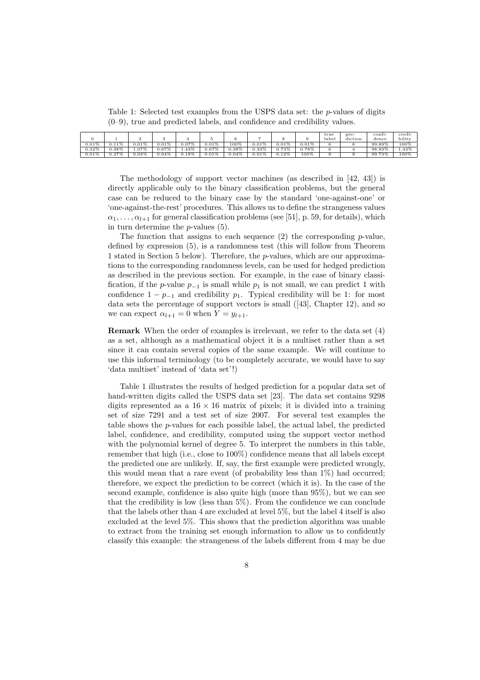|       |          |          |          |          |          |          |          |          |          | true  | pre-    | confi- | credi-   |
|-------|----------|----------|----------|----------|----------|----------|----------|----------|----------|-------|---------|--------|----------|
|       |          |          |          |          |          |          |          |          |          | label | diction | dence  | bility   |
| 0.01% | $0.11\%$ | $0.01\%$ | 0.01%    | $0.07\%$ | $0.01\%$ | 100%     | 0.01%    | 0.01%    | $0.01\%$ |       |         | 99.89% | 100%     |
| 0.32% | $0.38\%$ | $1.07\%$ | $0.67\%$ | 43%      | 0.67%    | $0.38\%$ | 0.33%    | 0.73%    | $0.78\%$ |       |         | 98.93% | $1.43\%$ |
| 0.01% | 0.27%    | $0.03\%$ | 0.04%    | $0.18\%$ | 0.01%    | 0.04%    | $0.01\%$ | $0.12\%$ | 100%     |       |         | 99.73% | 100%     |

Table 1: Selected test examples from the USPS data set: the p-values of digits (0–9), true and predicted labels, and confidence and credibility values.

The methodology of support vector machines (as described in [42, 43]) is directly applicable only to the binary classification problems, but the general case can be reduced to the binary case by the standard 'one-against-one' or 'one-against-the-rest' procedures. This allows us to define the strangeness values  $\alpha_1, \ldots, \alpha_{l+1}$  for general classification problems (see [51], p. 59, for details), which in turn determine the p-values (5).

The function that assigns to each sequence  $(2)$  the corresponding p-value, defined by expression (5), is a randomness test (this will follow from Theorem 1 stated in Section 5 below). Therefore, the p-values, which are our approximations to the corresponding randomness levels, can be used for hedged prediction as described in the previous section. For example, in the case of binary classification, if the p-value  $p_{-1}$  is small while  $p_1$  is not small, we can predict 1 with confidence  $1 - p_{-1}$  and credibility  $p_1$ . Typical credibility will be 1: for most data sets the percentage of support vectors is small ([43], Chapter 12), and so we can expect  $\alpha_{l+1} = 0$  when  $Y = y_{l+1}$ .

Remark When the order of examples is irrelevant, we refer to the data set (4) as a set, although as a mathematical object it is a multiset rather than a set since it can contain several copies of the same example. We will continue to use this informal terminology (to be completely accurate, we would have to say 'data multiset' instead of 'data set'!)

Table 1 illustrates the results of hedged prediction for a popular data set of hand-written digits called the USPS data set [23]. The data set contains 9298 digits represented as a  $16 \times 16$  matrix of pixels; it is divided into a training set of size 7291 and a test set of size 2007. For several test examples the table shows the p-values for each possible label, the actual label, the predicted label, confidence, and credibility, computed using the support vector method with the polynomial kernel of degree 5. To interpret the numbers in this table, remember that high (i.e., close to 100%) confidence means that all labels except the predicted one are unlikely. If, say, the first example were predicted wrongly, this would mean that a rare event (of probability less than  $1\%$ ) had occurred; therefore, we expect the prediction to be correct (which it is). In the case of the second example, confidence is also quite high (more than 95%), but we can see that the credibility is low (less than 5%). From the confidence we can conclude that the labels other than 4 are excluded at level 5%, but the label 4 itself is also excluded at the level 5%. This shows that the prediction algorithm was unable to extract from the training set enough information to allow us to confidently classify this example: the strangeness of the labels different from 4 may be due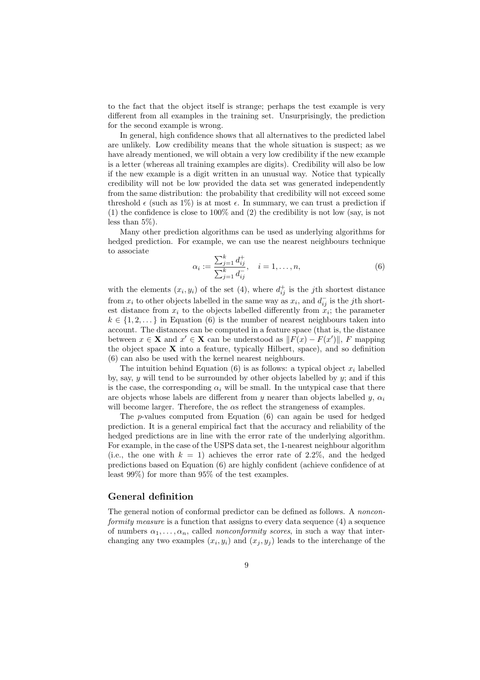to the fact that the object itself is strange; perhaps the test example is very different from all examples in the training set. Unsurprisingly, the prediction for the second example is wrong.

In general, high confidence shows that all alternatives to the predicted label are unlikely. Low credibility means that the whole situation is suspect; as we have already mentioned, we will obtain a very low credibility if the new example is a letter (whereas all training examples are digits). Credibility will also be low if the new example is a digit written in an unusual way. Notice that typically credibility will not be low provided the data set was generated independently from the same distribution: the probability that credibility will not exceed some threshold  $\epsilon$  (such as 1%) is at most  $\epsilon$ . In summary, we can trust a prediction if (1) the confidence is close to  $100\%$  and (2) the credibility is not low (say, is not less than 5%).

Many other prediction algorithms can be used as underlying algorithms for hedged prediction. For example, we can use the nearest neighbours technique to associate  $\bigcup_k$ 

$$
\alpha_i := \frac{\sum_{j=1}^k d_{ij}^+}{\sum_{j=1}^k d_{ij}^-}, \quad i = 1, \dots, n,
$$
\n(6)

with the elements  $(x_i, y_i)$  of the set (4), where  $d_{ij}^+$  is the jth shortest distance from  $x_i$  to other objects labelled in the same way as  $x_i$ , and  $d_{ij}^-$  is the jth shortest distance from  $x_i$  to the objects labelled differently from  $x_i$ ; the parameter  $k \in \{1, 2, \dots\}$  in Equation (6) is the number of nearest neighbours taken into account. The distances can be computed in a feature space (that is, the distance between  $x \in \mathbf{X}$  and  $x' \in \mathbf{X}$  can be understood as  $||F(x) - F(x')||$ , F mapping the object space  $X$  into a feature, typically Hilbert, space), and so definition (6) can also be used with the kernel nearest neighbours.

The intuition behind Equation  $(6)$  is as follows: a typical object  $x_i$  labelled by, say,  $y$  will tend to be surrounded by other objects labelled by  $y$ ; and if this is the case, the corresponding  $\alpha_i$  will be small. In the untypical case that there are objects whose labels are different from y nearer than objects labelled y,  $\alpha_i$ will become larger. Therefore, the  $\alpha s$  reflect the strangeness of examples.

The p-values computed from Equation (6) can again be used for hedged prediction. It is a general empirical fact that the accuracy and reliability of the hedged predictions are in line with the error rate of the underlying algorithm. For example, in the case of the USPS data set, the 1-nearest neighbour algorithm (i.e., the one with  $k = 1$ ) achieves the error rate of 2.2%, and the hedged predictions based on Equation (6) are highly confident (achieve confidence of at least 99%) for more than 95% of the test examples.

### General definition

The general notion of conformal predictor can be defined as follows. A nonconformity measure is a function that assigns to every data sequence (4) a sequence of numbers  $\alpha_1, \ldots, \alpha_n$ , called *nonconformity scores*, in such a way that interchanging any two examples  $(x_i, y_i)$  and  $(x_j, y_j)$  leads to the interchange of the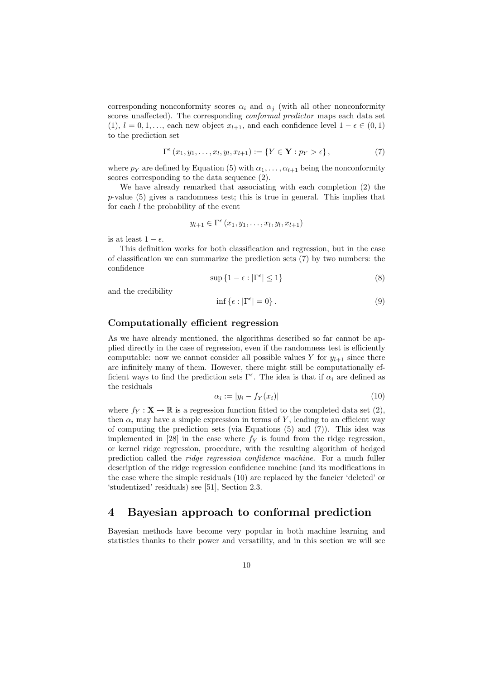corresponding nonconformity scores  $\alpha_i$  and  $\alpha_j$  (with all other nonconformity scores unaffected). The corresponding *conformal predictor* maps each data set (1),  $l = 0, 1, \ldots$ , each new object  $x_{l+1}$ , and each confidence level  $1 - \epsilon \in (0, 1)$ to the prediction set

$$
\Gamma^{\epsilon}(x_1, y_1, \dots, x_l, y_l, x_{l+1}) := \{ Y \in \mathbf{Y} : p_Y > \epsilon \},\tag{7}
$$

where  $p_Y$  are defined by Equation (5) with  $\alpha_1, \ldots, \alpha_{l+1}$  being the nonconformity scores corresponding to the data sequence (2).

We have already remarked that associating with each completion (2) the p-value (5) gives a randomness test; this is true in general. This implies that for each  $l$  the probability of the event

$$
y_{l+1} \in \Gamma^{\epsilon}(x_1, y_1, \ldots, x_l, y_l, x_{l+1})
$$

is at least  $1 - \epsilon$ .

This definition works for both classification and regression, but in the case of classification we can summarize the prediction sets (7) by two numbers: the confidence

$$
\sup\left\{1-\epsilon:|\Gamma^{\epsilon}|\leq 1\right\}\tag{8}
$$

and the credibility

$$
\inf \left\{ \epsilon : |\Gamma^{\epsilon}| = 0 \right\}. \tag{9}
$$

# Computationally efficient regression

As we have already mentioned, the algorithms described so far cannot be applied directly in the case of regression, even if the randomness test is efficiently computable: now we cannot consider all possible values Y for  $y_{l+1}$  since there are infinitely many of them. However, there might still be computationally efficient ways to find the prediction sets  $\Gamma^{\epsilon}$ . The idea is that if  $\alpha_i$  are defined as the residuals

$$
\alpha_i := |y_i - f_Y(x_i)| \tag{10}
$$

where  $f_Y : \mathbf{X} \to \mathbb{R}$  is a regression function fitted to the completed data set (2), then  $\alpha_i$  may have a simple expression in terms of Y, leading to an efficient way of computing the prediction sets (via Equations (5) and (7)). This idea was implemented in [28] in the case where  $f<sub>Y</sub>$  is found from the ridge regression, or kernel ridge regression, procedure, with the resulting algorithm of hedged prediction called the ridge regression confidence machine. For a much fuller description of the ridge regression confidence machine (and its modifications in the case where the simple residuals (10) are replaced by the fancier 'deleted' or 'studentized' residuals) see [51], Section 2.3.

# 4 Bayesian approach to conformal prediction

Bayesian methods have become very popular in both machine learning and statistics thanks to their power and versatility, and in this section we will see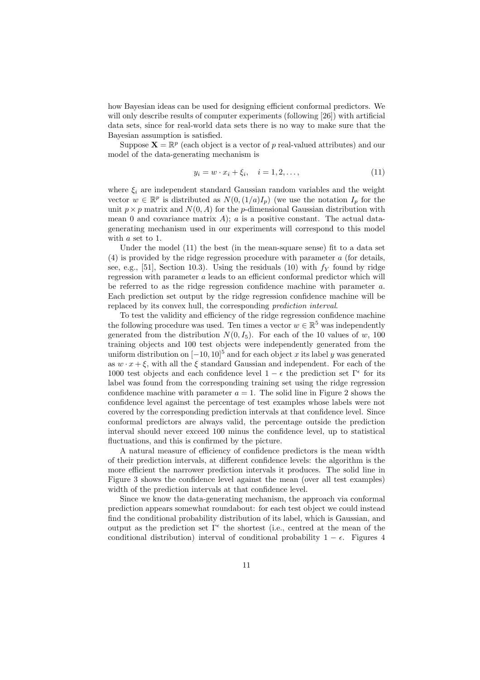how Bayesian ideas can be used for designing efficient conformal predictors. We will only describe results of computer experiments (following [26]) with artificial data sets, since for real-world data sets there is no way to make sure that the Bayesian assumption is satisfied.

Suppose  $\mathbf{X} = \mathbb{R}^p$  (each object is a vector of p real-valued attributes) and our model of the data-generating mechanism is

$$
y_i = w \cdot x_i + \xi_i, \quad i = 1, 2, \dots,
$$
\n(11)

where  $\xi_i$  are independent standard Gaussian random variables and the weight vector  $w \in \mathbb{R}^p$  is distributed as  $N(0, (1/a)I_p)$  (we use the notation  $I_p$  for the unit  $p \times p$  matrix and  $N(0, A)$  for the *p*-dimensional Gaussian distribution with mean 0 and covariance matrix  $A$ ;  $a$  is a positive constant. The actual datagenerating mechanism used in our experiments will correspond to this model with a set to 1.

Under the model (11) the best (in the mean-square sense) fit to a data set (4) is provided by the ridge regression procedure with parameter a (for details, see, e.g., [51], Section 10.3). Using the residuals (10) with  $f<sub>Y</sub>$  found by ridge regression with parameter a leads to an efficient conformal predictor which will be referred to as the ridge regression confidence machine with parameter a. Each prediction set output by the ridge regression confidence machine will be replaced by its convex hull, the corresponding prediction interval.

To test the validity and efficiency of the ridge regression confidence machine the following procedure was used. Ten times a vector  $w \in \mathbb{R}^5$  was independently generated from the distribution  $N(0, I_5)$ . For each of the 10 values of w, 100 training objects and 100 test objects were independently generated from the uniform distribution on  $[-10, 10]^5$  and for each object x its label y was generated as  $w \cdot x + \xi$ , with all the  $\xi$  standard Gaussian and independent. For each of the 1000 test objects and each confidence level  $1 - \epsilon$  the prediction set  $\Gamma^{\epsilon}$  for its label was found from the corresponding training set using the ridge regression confidence machine with parameter  $a = 1$ . The solid line in Figure 2 shows the confidence level against the percentage of test examples whose labels were not covered by the corresponding prediction intervals at that confidence level. Since conformal predictors are always valid, the percentage outside the prediction interval should never exceed 100 minus the confidence level, up to statistical fluctuations, and this is confirmed by the picture.

A natural measure of efficiency of confidence predictors is the mean width of their prediction intervals, at different confidence levels: the algorithm is the more efficient the narrower prediction intervals it produces. The solid line in Figure 3 shows the confidence level against the mean (over all test examples) width of the prediction intervals at that confidence level.

Since we know the data-generating mechanism, the approach via conformal prediction appears somewhat roundabout: for each test object we could instead find the conditional probability distribution of its label, which is Gaussian, and output as the prediction set  $\Gamma^{\epsilon}$  the shortest (i.e., centred at the mean of the conditional distribution) interval of conditional probability  $1 - \epsilon$ . Figures 4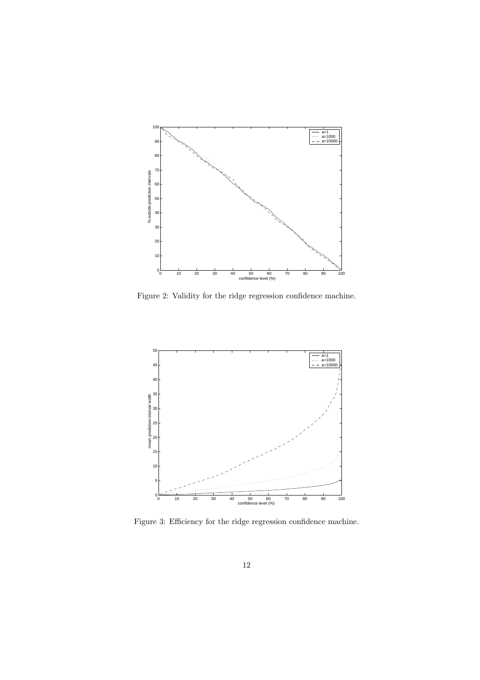

Figure 2: Validity for the ridge regression confidence machine.



Figure 3: Efficiency for the ridge regression confidence machine.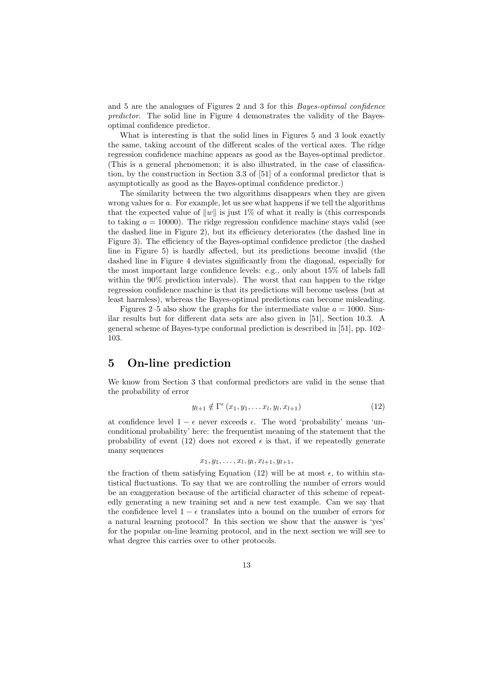and 5 are the analogues of Figures 2 and 3 for this Bayes-optimal confidence predictor. The solid line in Figure 4 demonstrates the validity of the Bayesoptimal confidence predictor.

What is interesting is that the solid lines in Figures 5 and 3 look exactly the same, taking account of the different scales of the vertical axes. The ridge regression confidence machine appears as good as the Bayes-optimal predictor. (This is a general phenomenon; it is also illustrated, in the case of classification, by the construction in Section 3.3 of [51] of a conformal predictor that is asymptotically as good as the Bayes-optimal confidence predictor.)

The similarity between the two algorithms disappears when they are given wrong values for a. For example, let us see what happens if we tell the algorithms that the expected value of  $||w||$  is just 1% of what it really is (this corresponds to taking  $a = 10000$ ). The ridge regression confidence machine stays valid (see the dashed line in Figure 2), but its efficiency deteriorates (the dashed line in Figure 3). The efficiency of the Bayes-optimal confidence predictor (the dashed line in Figure 5) is hardly affected, but its predictions become invalid (the dashed line in Figure 4 deviates significantly from the diagonal, especially for the most important large confidence levels: e.g., only about 15% of labels fall within the 90% prediction intervals). The worst that can happen to the ridge regression confidence machine is that its predictions will become useless (but at least harmless), whereas the Bayes-optimal predictions can become misleading.

Figures 2–5 also show the graphs for the intermediate value  $a = 1000$ . Similar results but for different data sets are also given in [51], Section 10.3. A general scheme of Bayes-type conformal prediction is described in [51], pp. 102– 103.

# 5 On-line prediction

We know from Section 3 that conformal predictors are valid in the sense that the probability of error

$$
y_{l+1} \notin \Gamma^{\epsilon}(x_1, y_1, \dots x_l, y_l, x_{l+1}) \tag{12}
$$

at confidence level  $1 - \epsilon$  never exceeds  $\epsilon$ . The word 'probability' means 'unconditional probability' here: the frequentist meaning of the statement that the probability of event (12) does not exceed  $\epsilon$  is that, if we repeatedly generate many sequences

$$
x_1, y_1, \ldots, x_l, y_l, x_{l+1}, y_{l+1},
$$

the fraction of them satisfying Equation (12) will be at most  $\epsilon$ , to within statistical fluctuations. To say that we are controlling the number of errors would be an exaggeration because of the artificial character of this scheme of repeatedly generating a new training set and a new test example. Can we say that the confidence level  $1 - \epsilon$  translates into a bound on the number of errors for a natural learning protocol? In this section we show that the answer is 'yes' for the popular on-line learning protocol, and in the next section we will see to what degree this carries over to other protocols.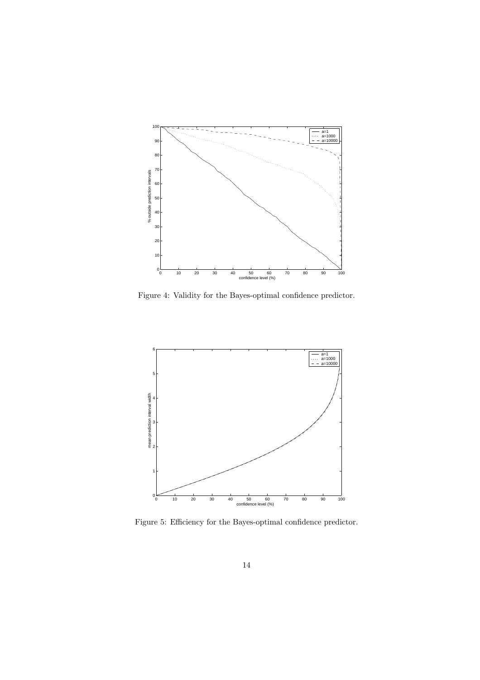

Figure 4: Validity for the Bayes-optimal confidence predictor.



Figure 5: Efficiency for the Bayes-optimal confidence predictor.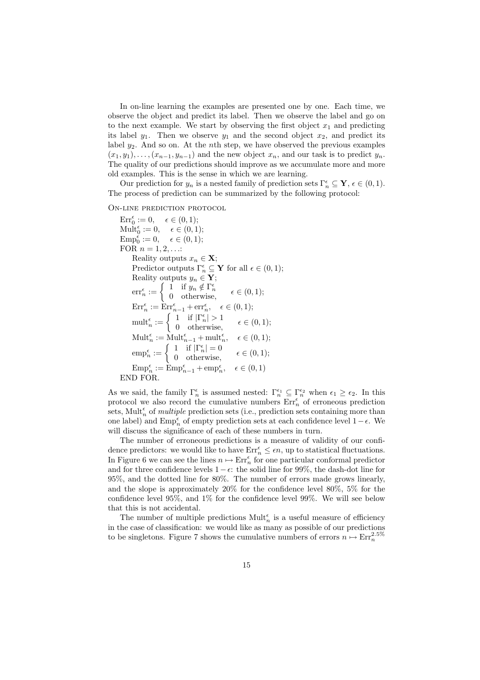In on-line learning the examples are presented one by one. Each time, we observe the object and predict its label. Then we observe the label and go on to the next example. We start by observing the first object  $x_1$  and predicting its label  $y_1$ . Then we observe  $y_1$  and the second object  $x_2$ , and predict its label  $y_2$ . And so on. At the *n*th step, we have observed the previous examples  $(x_1, y_1), \ldots, (x_{n-1}, y_{n-1})$  and the new object  $x_n$ , and our task is to predict  $y_n$ . The quality of our predictions should improve as we accumulate more and more old examples. This is the sense in which we are learning.

Our prediction for  $y_n$  is a nested family of prediction sets  $\Gamma_n^{\epsilon} \subseteq \mathbf{Y}, \epsilon \in (0,1)$ . The process of prediction can be summarized by the following protocol:

ON-LINE PREDICTION PROTOCOL

 $\text{Err}_0^{\epsilon} := 0, \quad \epsilon \in (0, 1);$  $\text{Mult}_0^{\epsilon} := 0, \quad \epsilon \in (0, 1);$  $\text{Emp}_0^{\epsilon} := 0, \quad \epsilon \in (0, 1);$ FOR  $n = 1, 2, ...$ Reality outputs  $x_n \in \mathbf{X}$ ; Predictor outputs  $\Gamma_n^{\epsilon} \subseteq \mathbf{Y}$  for all  $\epsilon \in (0,1)$ ; Reality outputs  $y_n \in \mathbf{Y}$ ; Reality outputs  $y_n \in \mathbf{Y}$ ;<br>  $\operatorname{err}_n^{\epsilon} := \begin{cases} 1 & \text{if } y_n \notin \Gamma_n^{\epsilon} \\ 0 & \text{otherwise,} \end{cases} \quad \epsilon \in (0,1);$  $\text{Err}_{n}^{\epsilon} := \text{Err}_{n-1}^{\epsilon} + \text{err}_{n}^{\epsilon}, \quad \epsilon \in (0,1);$  $\text{mult}_{n}^{\epsilon} := \sum_{n=1}^{\ell} \frac{1}{n-1} + \text{erf}_{n}, \quad \epsilon$ <br>  $\text{mult}_{n}^{\epsilon} := \begin{cases} 1 & \text{if } |\Gamma_{n}^{\epsilon}| > 1 \\ 0 & \text{otherwise} \end{cases}$ 0 otherwise,  $\epsilon \in (0,1);$  $\text{Mult}_n^{\epsilon} := \text{Mult}_{n-1}^{\epsilon} + \text{mult}_n^{\epsilon}, \quad \epsilon \in (0, 1);$ where  $\text{emp}_n^{\epsilon} := \begin{cases} 1 & \text{if } |\Gamma_n^{\epsilon}| = 0 \\ 0 & \text{otherwise} \end{cases}$ 0 otherwise,  $\epsilon \in (0,1);$  $\text{Emp}_n^{\epsilon} := \text{Emp}_{n-1}^{\epsilon} + \text{emp}_n^{\epsilon}, \quad \epsilon \in (0,1)$ END FOR.

As we said, the family  $\Gamma_n^{\epsilon}$  is assumed nested:  $\Gamma_n^{\epsilon_1} \subseteq \Gamma_n^{\epsilon_2}$  when  $\epsilon_1 \geq \epsilon_2$ . In this protocol we also record the cumulative numbers  $\text{Err}_{n}^{\epsilon}$  of erroneous prediction sets, Mult<sup> $\epsilon$ </sup> of *multiple* prediction sets (i.e., prediction sets containing more than one label) and  $\text{Emp}_n^{\epsilon}$  of empty prediction sets at each confidence level  $1-\epsilon$ . We will discuss the significance of each of these numbers in turn.

The number of erroneous predictions is a measure of validity of our confidence predictors: we would like to have  $\text{Err}_n^{\epsilon} \leq \epsilon n$ , up to statistical fluctuations. In Figure 6 we can see the lines  $n \mapsto \text{Err}_{n}^{\epsilon}$  for one particular conformal predictor and for three confidence levels  $1-\epsilon$ : the solid line for 99%, the dash-dot line for 95%, and the dotted line for 80%. The number of errors made grows linearly, and the slope is approximately 20% for the confidence level 80%, 5% for the confidence level 95%, and 1% for the confidence level 99%. We will see below that this is not accidental.

The number of multiple predictions  $\text{Mult}_n^{\epsilon}$  is a useful measure of efficiency in the case of classification: we would like as many as possible of our predictions to be singletons. Figure 7 shows the cumulative numbers of errors  $n \mapsto \text{Err}_n^{2.5\%}$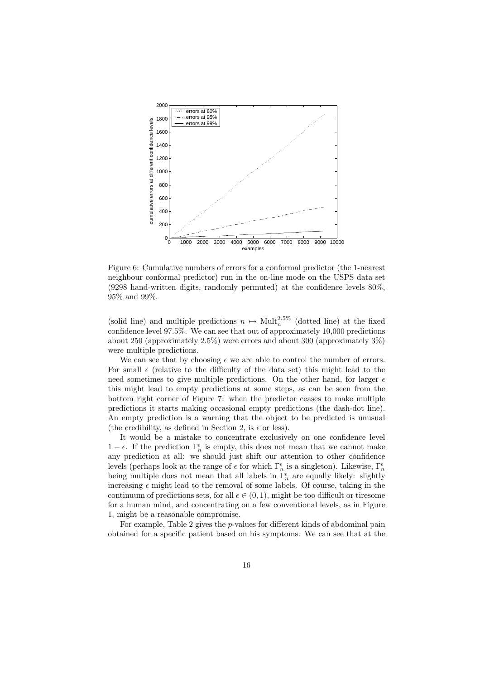

Figure 6: Cumulative numbers of errors for a conformal predictor (the 1-nearest neighbour conformal predictor) run in the on-line mode on the USPS data set (9298 hand-written digits, randomly permuted) at the confidence levels 80%, 95% and 99%.

(solid line) and multiple predictions  $n \mapsto \text{Mult}_n^{2.5\%}$  (dotted line) at the fixed confidence level 97.5%. We can see that out of approximately 10,000 predictions about 250 (approximately 2.5%) were errors and about 300 (approximately 3%) were multiple predictions.

We can see that by choosing  $\epsilon$  we are able to control the number of errors. For small  $\epsilon$  (relative to the difficulty of the data set) this might lead to the need sometimes to give multiple predictions. On the other hand, for larger  $\epsilon$ this might lead to empty predictions at some steps, as can be seen from the bottom right corner of Figure 7: when the predictor ceases to make multiple predictions it starts making occasional empty predictions (the dash-dot line). An empty prediction is a warning that the object to be predicted is unusual (the credibility, as defined in Section 2, is  $\epsilon$  or less).

It would be a mistake to concentrate exclusively on one confidence level 1 −  $\epsilon$ . If the prediction  $\Gamma_n^{\epsilon}$  is empty, this does not mean that we cannot make any prediction at all: we should just shift our attention to other confidence levels (perhaps look at the range of  $\epsilon$  for which  $\Gamma_n^{\epsilon}$  is a singleton). Likewise,  $\Gamma_n^{\epsilon}$ being multiple does not mean that all labels in  $\Gamma_n^{\epsilon}$  are equally likely: slightly increasing  $\epsilon$  might lead to the removal of some labels. Of course, taking in the continuum of predictions sets, for all  $\epsilon \in (0, 1)$ , might be too difficult or tiresome for a human mind, and concentrating on a few conventional levels, as in Figure 1, might be a reasonable compromise.

For example, Table 2 gives the p-values for different kinds of abdominal pain obtained for a specific patient based on his symptoms. We can see that at the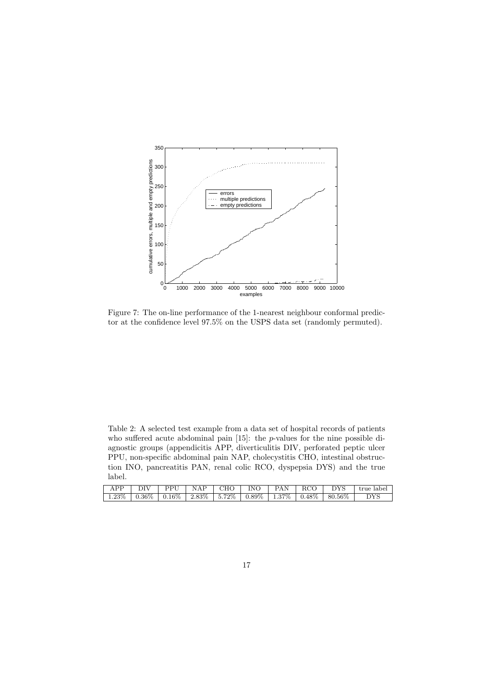

Figure 7: The on-line performance of the 1-nearest neighbour conformal predictor at the confidence level 97.5% on the USPS data set (randomly permuted).

Table 2: A selected test example from a data set of hospital records of patients who suffered acute abdominal pain [15]: the *p*-values for the nine possible diagnostic groups (appendicitis APP, diverticulitis DIV, perforated peptic ulcer PPU, non-specific abdominal pain NAP, cholecystitis CHO, intestinal obstruction INO, pancreatitis PAN, renal colic RCO, dyspepsia DYS) and the true label.

| APP | $\overline{\phantom{a}}$ DIV |  | $PPU$   NAP   CHO | INO. | PAN | $ $ RCO $ $ | ' DYS                                                                                             | true label |
|-----|------------------------------|--|-------------------|------|-----|-------------|---------------------------------------------------------------------------------------------------|------------|
|     |                              |  |                   |      |     |             | $1.23\%$   $0.36\%$   $0.16\%$   $2.83\%$   $5.72\%$   $0.89\%$   $1.37\%$   $0.48\%$   $80.56\%$ | <b>DYS</b> |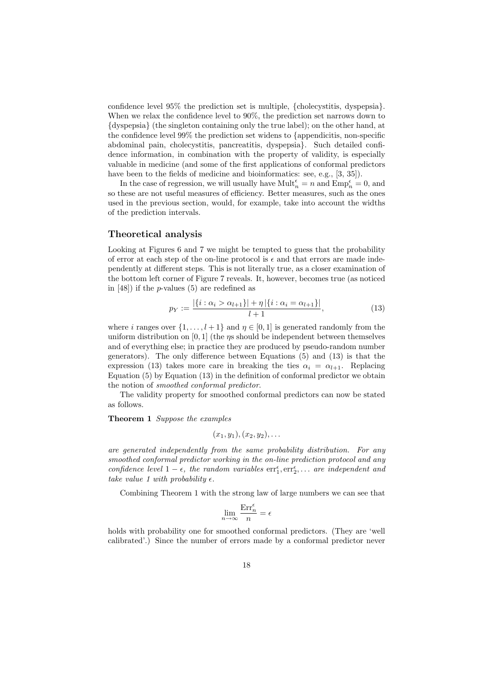confidence level 95% the prediction set is multiple, {cholecystitis, dyspepsia}. When we relax the confidence level to 90%, the prediction set narrows down to {dyspepsia} (the singleton containing only the true label); on the other hand, at the confidence level 99% the prediction set widens to {appendicitis, non-specific abdominal pain, cholecystitis, pancreatitis, dyspepsia}. Such detailed confidence information, in combination with the property of validity, is especially valuable in medicine (and some of the first applications of conformal predictors have been to the fields of medicine and bioinformatics: see, e.g., [3, 35]).

In the case of regression, we will usually have  $\text{Mult}_n^{\epsilon} = n$  and  $\text{Emp}_n^{\epsilon} = 0$ , and so these are not useful measures of efficiency. Better measures, such as the ones used in the previous section, would, for example, take into account the widths of the prediction intervals.

# Theoretical analysis

Looking at Figures 6 and 7 we might be tempted to guess that the probability of error at each step of the on-line protocol is  $\epsilon$  and that errors are made independently at different steps. This is not literally true, as a closer examination of the bottom left corner of Figure 7 reveals. It, however, becomes true (as noticed in [48]) if the p-values (5) are redefined as

$$
p_Y := \frac{|\{i : \alpha_i > \alpha_{l+1}\}| + \eta |\{i : \alpha_i = \alpha_{l+1}\}|}{l+1},\tag{13}
$$

where i ranges over  $\{1, \ldots, l+1\}$  and  $\eta \in [0, 1]$  is generated randomly from the uniform distribution on  $[0, 1]$  (the  $\eta$ s should be independent between themselves and of everything else; in practice they are produced by pseudo-random number generators). The only difference between Equations (5) and (13) is that the expression (13) takes more care in breaking the ties  $\alpha_i = \alpha_{l+1}$ . Replacing Equation (5) by Equation (13) in the definition of conformal predictor we obtain the notion of smoothed conformal predictor.

The validity property for smoothed conformal predictors can now be stated as follows.

Theorem 1 Suppose the examples

$$
(x_1,y_1),(x_2,y_2),\ldots
$$

are generated independently from the same probability distribution. For any smoothed conformal predictor working in the on-line prediction protocol and any confidence level  $1 - \epsilon$ , the random variables  $err_1^{\epsilon}$ , err<sub>2</sub>, ... are independent and take value 1 with probability  $\epsilon$ .

Combining Theorem 1 with the strong law of large numbers we can see that

$$
\lim_{n \to \infty} \frac{\text{Err}_n^{\epsilon}}{n} = \epsilon
$$

holds with probability one for smoothed conformal predictors. (They are 'well calibrated'.) Since the number of errors made by a conformal predictor never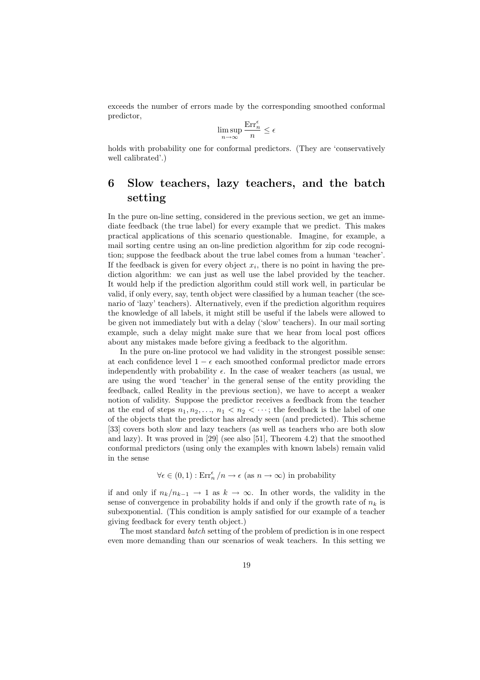exceeds the number of errors made by the corresponding smoothed conformal predictor,

$$
\limsup_{n\to\infty} \frac{{\rm Err}_n^\epsilon}{n}\leq \epsilon
$$

holds with probability one for conformal predictors. (They are 'conservatively well calibrated'.)

# 6 Slow teachers, lazy teachers, and the batch setting

In the pure on-line setting, considered in the previous section, we get an immediate feedback (the true label) for every example that we predict. This makes practical applications of this scenario questionable. Imagine, for example, a mail sorting centre using an on-line prediction algorithm for zip code recognition; suppose the feedback about the true label comes from a human 'teacher'. If the feedback is given for every object  $x_i$ , there is no point in having the prediction algorithm: we can just as well use the label provided by the teacher. It would help if the prediction algorithm could still work well, in particular be valid, if only every, say, tenth object were classified by a human teacher (the scenario of 'lazy' teachers). Alternatively, even if the prediction algorithm requires the knowledge of all labels, it might still be useful if the labels were allowed to be given not immediately but with a delay ('slow' teachers). In our mail sorting example, such a delay might make sure that we hear from local post offices about any mistakes made before giving a feedback to the algorithm.

In the pure on-line protocol we had validity in the strongest possible sense: at each confidence level  $1 - \epsilon$  each smoothed conformal predictor made errors independently with probability  $\epsilon$ . In the case of weaker teachers (as usual, we are using the word 'teacher' in the general sense of the entity providing the feedback, called Reality in the previous section), we have to accept a weaker notion of validity. Suppose the predictor receives a feedback from the teacher at the end of steps  $n_1, n_2, \ldots, n_1 < n_2 < \cdots$ ; the feedback is the label of one of the objects that the predictor has already seen (and predicted). This scheme [33] covers both slow and lazy teachers (as well as teachers who are both slow and lazy). It was proved in [29] (see also [51], Theorem 4.2) that the smoothed conformal predictors (using only the examples with known labels) remain valid in the sense

$$
\forall \epsilon \in (0,1) : \mathrm{Err}_{n}^{\epsilon}/n \to \epsilon
$$
 (as  $n \to \infty$ ) in probability

if and only if  $n_k/n_{k-1} \to 1$  as  $k \to \infty$ . In other words, the validity in the sense of convergence in probability holds if and only if the growth rate of  $n_k$  is subexponential. (This condition is amply satisfied for our example of a teacher giving feedback for every tenth object.)

The most standard batch setting of the problem of prediction is in one respect even more demanding than our scenarios of weak teachers. In this setting we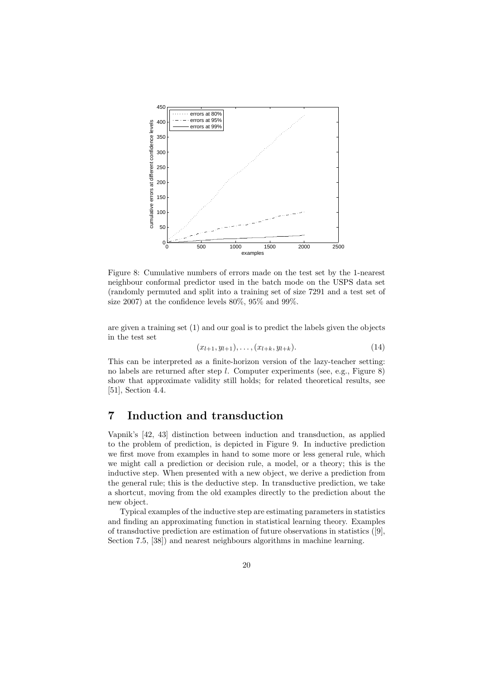

Figure 8: Cumulative numbers of errors made on the test set by the 1-nearest neighbour conformal predictor used in the batch mode on the USPS data set (randomly permuted and split into a training set of size 7291 and a test set of size 2007) at the confidence levels 80%, 95% and 99%.

are given a training set (1) and our goal is to predict the labels given the objects in the test set

$$
(x_{l+1}, y_{l+1}), \dots, (x_{l+k}, y_{l+k}). \tag{14}
$$

This can be interpreted as a finite-horizon version of the lazy-teacher setting: no labels are returned after step l. Computer experiments (see, e.g., Figure 8) show that approximate validity still holds; for related theoretical results, see [51], Section 4.4.

# 7 Induction and transduction

Vapnik's [42, 43] distinction between induction and transduction, as applied to the problem of prediction, is depicted in Figure 9. In inductive prediction we first move from examples in hand to some more or less general rule, which we might call a prediction or decision rule, a model, or a theory; this is the inductive step. When presented with a new object, we derive a prediction from the general rule; this is the deductive step. In transductive prediction, we take a shortcut, moving from the old examples directly to the prediction about the new object.

Typical examples of the inductive step are estimating parameters in statistics and finding an approximating function in statistical learning theory. Examples of transductive prediction are estimation of future observations in statistics  $(9, 6)$ Section 7.5, [38]) and nearest neighbours algorithms in machine learning.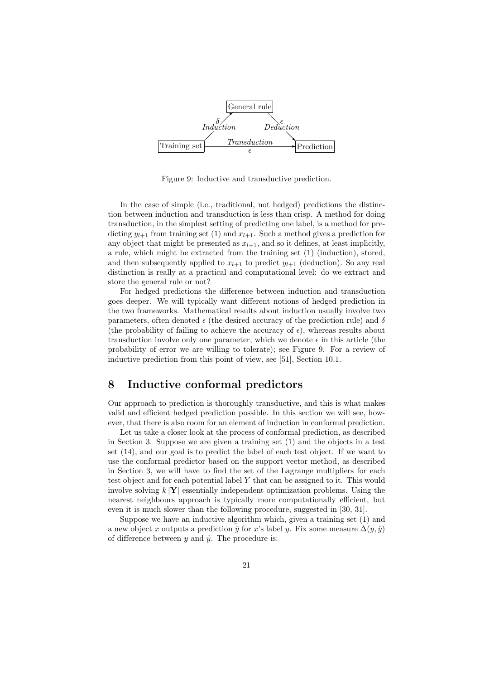

Figure 9: Inductive and transductive prediction.

In the case of simple (i.e., traditional, not hedged) predictions the distinction between induction and transduction is less than crisp. A method for doing transduction, in the simplest setting of predicting one label, is a method for predicting  $y_{l+1}$  from training set (1) and  $x_{l+1}$ . Such a method gives a prediction for any object that might be presented as  $x_{l+1}$ , and so it defines, at least implicitly, a rule, which might be extracted from the training set (1) (induction), stored, and then subsequently applied to  $x_{l+1}$  to predict  $y_{l+1}$  (deduction). So any real distinction is really at a practical and computational level: do we extract and store the general rule or not?

For hedged predictions the difference between induction and transduction goes deeper. We will typically want different notions of hedged prediction in the two frameworks. Mathematical results about induction usually involve two parameters, often denoted  $\epsilon$  (the desired accuracy of the prediction rule) and  $\delta$ (the probability of failing to achieve the accuracy of  $\epsilon$ ), whereas results about transduction involve only one parameter, which we denote  $\epsilon$  in this article (the probability of error we are willing to tolerate); see Figure 9. For a review of inductive prediction from this point of view, see [51], Section 10.1.

# 8 Inductive conformal predictors

Our approach to prediction is thoroughly transductive, and this is what makes valid and efficient hedged prediction possible. In this section we will see, however, that there is also room for an element of induction in conformal prediction.

Let us take a closer look at the process of conformal prediction, as described in Section 3. Suppose we are given a training set (1) and the objects in a test set (14), and our goal is to predict the label of each test object. If we want to use the conformal predictor based on the support vector method, as described in Section 3, we will have to find the set of the Lagrange multipliers for each test object and for each potential label Y that can be assigned to it. This would involve solving  $k|\mathbf{Y}|$  essentially independent optimization problems. Using the nearest neighbours approach is typically more computationally efficient, but even it is much slower than the following procedure, suggested in [30, 31].

Suppose we have an inductive algorithm which, given a training set (1) and a new object x outputs a prediction  $\hat{y}$  for x's label y. Fix some measure  $\Delta(y, \hat{y})$ of difference between y and  $\hat{y}$ . The procedure is: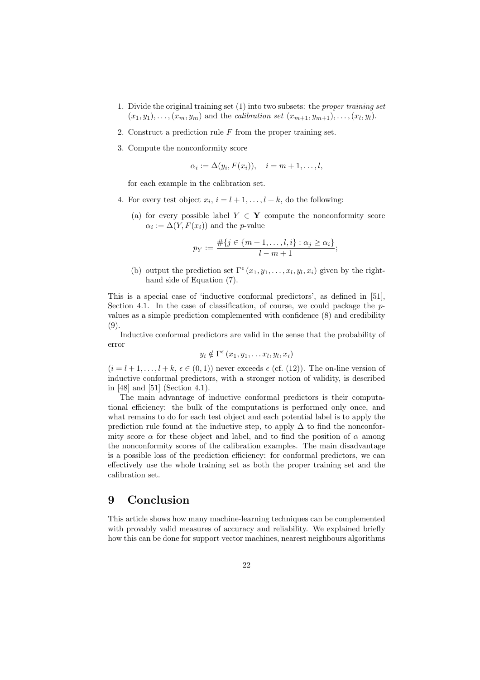- 1. Divide the original training set (1) into two subsets: the proper training set  $(x_1, y_1), \ldots, (x_m, y_m)$  and the *calibration set*  $(x_{m+1}, y_{m+1}), \ldots, (x_l, y_l)$ .
- 2. Construct a prediction rule  $F$  from the proper training set.
- 3. Compute the nonconformity score

$$
\alpha_i := \Delta(y_i, F(x_i)), \quad i = m+1, \dots, l,
$$

for each example in the calibration set.

- 4. For every test object  $x_i$ ,  $i = l + 1, ..., l + k$ , do the following:
	- (a) for every possible label  $Y \in Y$  compute the nonconformity score  $\alpha_i := \Delta(Y, F(x_i))$  and the *p*-value

$$
p_Y := \frac{\#\{j \in \{m+1, \dots, l, i\} : \alpha_j \ge \alpha_i\}}{l - m + 1};
$$

(b) output the prediction set  $\Gamma^{\epsilon}(x_1, y_1, \ldots, x_l, y_l, x_i)$  given by the righthand side of Equation (7).

This is a special case of 'inductive conformal predictors', as defined in [51], Section 4.1. In the case of classification, of course, we could package the  $p$ values as a simple prediction complemented with confidence (8) and credibility (9).

Inductive conformal predictors are valid in the sense that the probability of error

$$
y_i \notin \Gamma^{\epsilon}(x_1, y_1, \ldots x_l, y_l, x_i)
$$

 $(i = l + 1, \ldots, l + k, \epsilon \in (0, 1))$  never exceeds  $\epsilon$  (cf. (12)). The on-line version of inductive conformal predictors, with a stronger notion of validity, is described in [48] and [51] (Section 4.1).

The main advantage of inductive conformal predictors is their computational efficiency: the bulk of the computations is performed only once, and what remains to do for each test object and each potential label is to apply the prediction rule found at the inductive step, to apply  $\Delta$  to find the nonconformity score  $\alpha$  for these object and label, and to find the position of  $\alpha$  among the nonconformity scores of the calibration examples. The main disadvantage is a possible loss of the prediction efficiency: for conformal predictors, we can effectively use the whole training set as both the proper training set and the calibration set.

# 9 Conclusion

This article shows how many machine-learning techniques can be complemented with provably valid measures of accuracy and reliability. We explained briefly how this can be done for support vector machines, nearest neighbours algorithms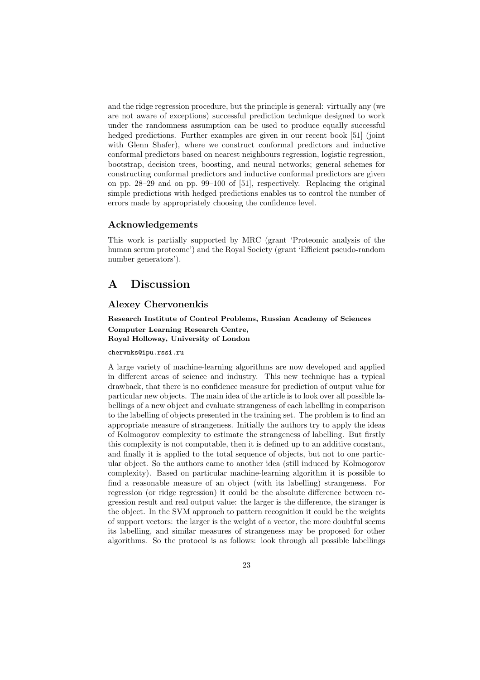and the ridge regression procedure, but the principle is general: virtually any (we are not aware of exceptions) successful prediction technique designed to work under the randomness assumption can be used to produce equally successful hedged predictions. Further examples are given in our recent book [51] (joint with Glenn Shafer), where we construct conformal predictors and inductive conformal predictors based on nearest neighbours regression, logistic regression, bootstrap, decision trees, boosting, and neural networks; general schemes for constructing conformal predictors and inductive conformal predictors are given on pp. 28–29 and on pp. 99–100 of [51], respectively. Replacing the original simple predictions with hedged predictions enables us to control the number of errors made by appropriately choosing the confidence level.

# Acknowledgements

This work is partially supported by MRC (grant 'Proteomic analysis of the human serum proteome') and the Royal Society (grant 'Efficient pseudo-random number generators').

# A Discussion

### Alexey Chervonenkis

Research Institute of Control Problems, Russian Academy of Sciences Computer Learning Research Centre, Royal Holloway, University of London

#### chervnks@ipu.rssi.ru

A large variety of machine-learning algorithms are now developed and applied in different areas of science and industry. This new technique has a typical drawback, that there is no confidence measure for prediction of output value for particular new objects. The main idea of the article is to look over all possible labellings of a new object and evaluate strangeness of each labelling in comparison to the labelling of objects presented in the training set. The problem is to find an appropriate measure of strangeness. Initially the authors try to apply the ideas of Kolmogorov complexity to estimate the strangeness of labelling. But firstly this complexity is not computable, then it is defined up to an additive constant, and finally it is applied to the total sequence of objects, but not to one particular object. So the authors came to another idea (still induced by Kolmogorov complexity). Based on particular machine-learning algorithm it is possible to find a reasonable measure of an object (with its labelling) strangeness. For regression (or ridge regression) it could be the absolute difference between regression result and real output value: the larger is the difference, the stranger is the object. In the SVM approach to pattern recognition it could be the weights of support vectors: the larger is the weight of a vector, the more doubtful seems its labelling, and similar measures of strangeness may be proposed for other algorithms. So the protocol is as follows: look through all possible labellings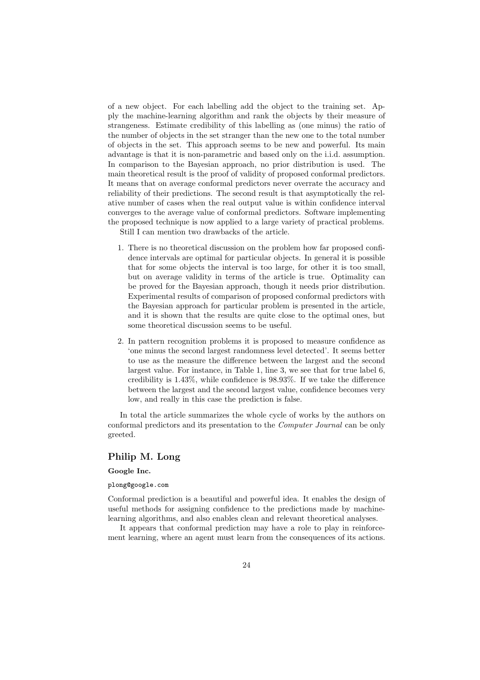of a new object. For each labelling add the object to the training set. Apply the machine-learning algorithm and rank the objects by their measure of strangeness. Estimate credibility of this labelling as (one minus) the ratio of the number of objects in the set stranger than the new one to the total number of objects in the set. This approach seems to be new and powerful. Its main advantage is that it is non-parametric and based only on the i.i.d. assumption. In comparison to the Bayesian approach, no prior distribution is used. The main theoretical result is the proof of validity of proposed conformal predictors. It means that on average conformal predictors never overrate the accuracy and reliability of their predictions. The second result is that asymptotically the relative number of cases when the real output value is within confidence interval converges to the average value of conformal predictors. Software implementing the proposed technique is now applied to a large variety of practical problems.

Still I can mention two drawbacks of the article.

- 1. There is no theoretical discussion on the problem how far proposed confidence intervals are optimal for particular objects. In general it is possible that for some objects the interval is too large, for other it is too small, but on average validity in terms of the article is true. Optimality can be proved for the Bayesian approach, though it needs prior distribution. Experimental results of comparison of proposed conformal predictors with the Bayesian approach for particular problem is presented in the article, and it is shown that the results are quite close to the optimal ones, but some theoretical discussion seems to be useful.
- 2. In pattern recognition problems it is proposed to measure confidence as 'one minus the second largest randomness level detected'. It seems better to use as the measure the difference between the largest and the second largest value. For instance, in Table 1, line 3, we see that for true label 6, credibility is 1.43%, while confidence is 98.93%. If we take the difference between the largest and the second largest value, confidence becomes very low, and really in this case the prediction is false.

In total the article summarizes the whole cycle of works by the authors on conformal predictors and its presentation to the Computer Journal can be only greeted.

# Philip M. Long

#### Google Inc.

#### plong@google.com

Conformal prediction is a beautiful and powerful idea. It enables the design of useful methods for assigning confidence to the predictions made by machinelearning algorithms, and also enables clean and relevant theoretical analyses.

It appears that conformal prediction may have a role to play in reinforcement learning, where an agent must learn from the consequences of its actions.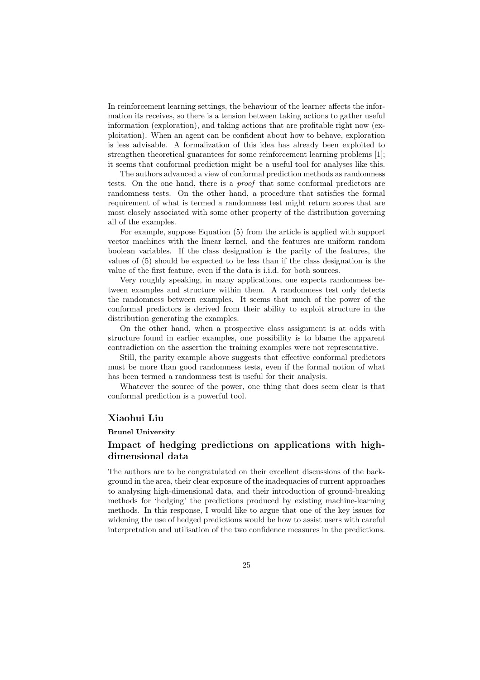In reinforcement learning settings, the behaviour of the learner affects the information its receives, so there is a tension between taking actions to gather useful information (exploration), and taking actions that are profitable right now (exploitation). When an agent can be confident about how to behave, exploration is less advisable. A formalization of this idea has already been exploited to strengthen theoretical guarantees for some reinforcement learning problems [1]; it seems that conformal prediction might be a useful tool for analyses like this.

The authors advanced a view of conformal prediction methods as randomness tests. On the one hand, there is a proof that some conformal predictors are randomness tests. On the other hand, a procedure that satisfies the formal requirement of what is termed a randomness test might return scores that are most closely associated with some other property of the distribution governing all of the examples.

For example, suppose Equation (5) from the article is applied with support vector machines with the linear kernel, and the features are uniform random boolean variables. If the class designation is the parity of the features, the values of (5) should be expected to be less than if the class designation is the value of the first feature, even if the data is i.i.d. for both sources.

Very roughly speaking, in many applications, one expects randomness between examples and structure within them. A randomness test only detects the randomness between examples. It seems that much of the power of the conformal predictors is derived from their ability to exploit structure in the distribution generating the examples.

On the other hand, when a prospective class assignment is at odds with structure found in earlier examples, one possibility is to blame the apparent contradiction on the assertion the training examples were not representative.

Still, the parity example above suggests that effective conformal predictors must be more than good randomness tests, even if the formal notion of what has been termed a randomness test is useful for their analysis.

Whatever the source of the power, one thing that does seem clear is that conformal prediction is a powerful tool.

#### Xiaohui Liu

#### Brunel University

# Impact of hedging predictions on applications with highdimensional data

The authors are to be congratulated on their excellent discussions of the background in the area, their clear exposure of the inadequacies of current approaches to analysing high-dimensional data, and their introduction of ground-breaking methods for 'hedging' the predictions produced by existing machine-learning methods. In this response, I would like to argue that one of the key issues for widening the use of hedged predictions would be how to assist users with careful interpretation and utilisation of the two confidence measures in the predictions.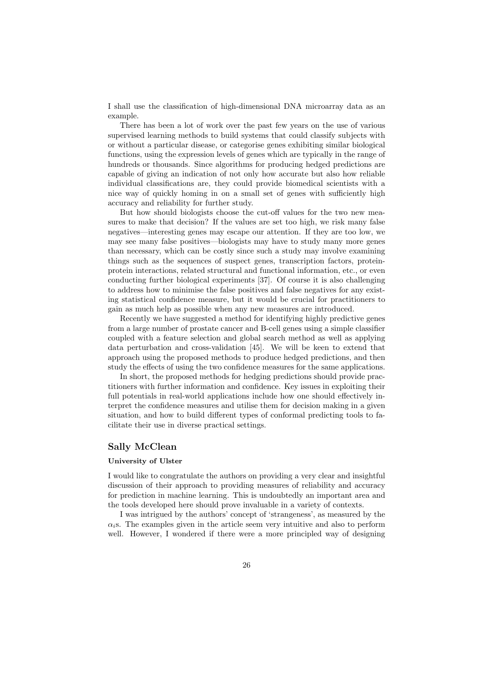I shall use the classification of high-dimensional DNA microarray data as an example.

There has been a lot of work over the past few years on the use of various supervised learning methods to build systems that could classify subjects with or without a particular disease, or categorise genes exhibiting similar biological functions, using the expression levels of genes which are typically in the range of hundreds or thousands. Since algorithms for producing hedged predictions are capable of giving an indication of not only how accurate but also how reliable individual classifications are, they could provide biomedical scientists with a nice way of quickly homing in on a small set of genes with sufficiently high accuracy and reliability for further study.

But how should biologists choose the cut-off values for the two new measures to make that decision? If the values are set too high, we risk many false negatives—interesting genes may escape our attention. If they are too low, we may see many false positives—biologists may have to study many more genes than necessary, which can be costly since such a study may involve examining things such as the sequences of suspect genes, transcription factors, proteinprotein interactions, related structural and functional information, etc., or even conducting further biological experiments [37]. Of course it is also challenging to address how to minimise the false positives and false negatives for any existing statistical confidence measure, but it would be crucial for practitioners to gain as much help as possible when any new measures are introduced.

Recently we have suggested a method for identifying highly predictive genes from a large number of prostate cancer and B-cell genes using a simple classifier coupled with a feature selection and global search method as well as applying data perturbation and cross-validation [45]. We will be keen to extend that approach using the proposed methods to produce hedged predictions, and then study the effects of using the two confidence measures for the same applications.

In short, the proposed methods for hedging predictions should provide practitioners with further information and confidence. Key issues in exploiting their full potentials in real-world applications include how one should effectively interpret the confidence measures and utilise them for decision making in a given situation, and how to build different types of conformal predicting tools to facilitate their use in diverse practical settings.

# Sally McClean

#### University of Ulster

I would like to congratulate the authors on providing a very clear and insightful discussion of their approach to providing measures of reliability and accuracy for prediction in machine learning. This is undoubtedly an important area and the tools developed here should prove invaluable in a variety of contexts.

I was intrigued by the authors' concept of 'strangeness', as measured by the  $\alpha_i$ s. The examples given in the article seem very intuitive and also to perform well. However, I wondered if there were a more principled way of designing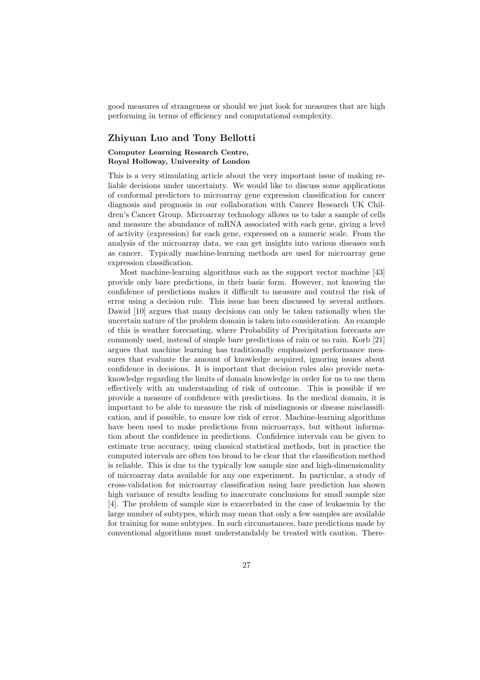good measures of strangeness or should we just look for measures that are high performing in terms of efficiency and computational complexity.

# Zhiyuan Luo and Tony Bellotti

# Computer Learning Research Centre, Royal Holloway, University of London

This is a very stimulating article about the very important issue of making reliable decisions under uncertainty. We would like to discuss some applications of conformal predictors to microarray gene expression classification for cancer diagnosis and prognosis in our collaboration with Cancer Research UK Children's Cancer Group. Microarray technology allows us to take a sample of cells and measure the abundance of mRNA associated with each gene, giving a level of activity (expression) for each gene, expressed on a numeric scale. From the analysis of the microarray data, we can get insights into various diseases such as cancer. Typically machine-learning methods are used for microarray gene expression classification.

Most machine-learning algorithms such as the support vector machine [43] provide only bare predictions, in their basic form. However, not knowing the confidence of predictions makes it difficult to measure and control the risk of error using a decision rule. This issue has been discussed by several authors. Dawid [10] argues that many decisions can only be taken rationally when the uncertain nature of the problem domain is taken into consideration. An example of this is weather forecasting, where Probability of Precipitation forecasts are commonly used, instead of simple bare predictions of rain or no rain. Korb [21] argues that machine learning has traditionally emphasized performance measures that evaluate the amount of knowledge acquired, ignoring issues about confidence in decisions. It is important that decision rules also provide metaknowledge regarding the limits of domain knowledge in order for us to use them effectively with an understanding of risk of outcome. This is possible if we provide a measure of confidence with predictions. In the medical domain, it is important to be able to measure the risk of misdiagnosis or disease misclassification, and if possible, to ensure low risk of error. Machine-learning algorithms have been used to make predictions from microarrays, but without information about the confidence in predictions. Confidence intervals can be given to estimate true accuracy, using classical statistical methods, but in practice the computed intervals are often too broad to be clear that the classification method is reliable. This is due to the typically low sample size and high-dimensionality of microarray data available for any one experiment. In particular, a study of cross-validation for microarray classification using bare prediction has shown high variance of results leading to inaccurate conclusions for small sample size [4]. The problem of sample size is exacerbated in the case of leukaemia by the large number of subtypes, which may mean that only a few samples are available for training for some subtypes. In such circumstances, bare predictions made by conventional algorithms must understandably be treated with caution. There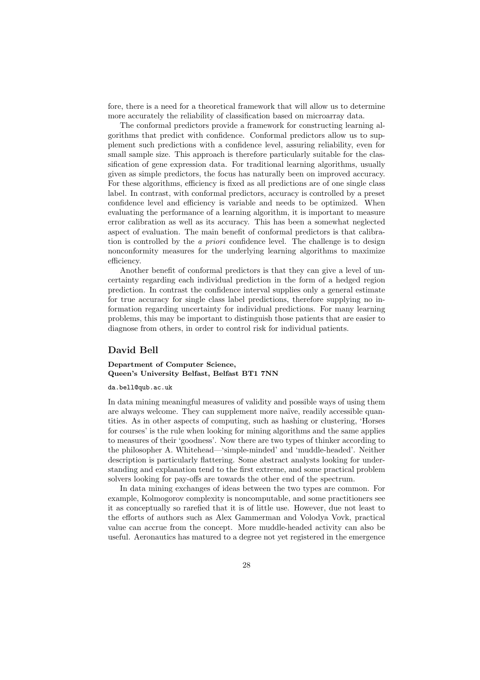fore, there is a need for a theoretical framework that will allow us to determine more accurately the reliability of classification based on microarray data.

The conformal predictors provide a framework for constructing learning algorithms that predict with confidence. Conformal predictors allow us to supplement such predictions with a confidence level, assuring reliability, even for small sample size. This approach is therefore particularly suitable for the classification of gene expression data. For traditional learning algorithms, usually given as simple predictors, the focus has naturally been on improved accuracy. For these algorithms, efficiency is fixed as all predictions are of one single class label. In contrast, with conformal predictors, accuracy is controlled by a preset confidence level and efficiency is variable and needs to be optimized. When evaluating the performance of a learning algorithm, it is important to measure error calibration as well as its accuracy. This has been a somewhat neglected aspect of evaluation. The main benefit of conformal predictors is that calibration is controlled by the a priori confidence level. The challenge is to design nonconformity measures for the underlying learning algorithms to maximize efficiency.

Another benefit of conformal predictors is that they can give a level of uncertainty regarding each individual prediction in the form of a hedged region prediction. In contrast the confidence interval supplies only a general estimate for true accuracy for single class label predictions, therefore supplying no information regarding uncertainty for individual predictions. For many learning problems, this may be important to distinguish those patients that are easier to diagnose from others, in order to control risk for individual patients.

# David Bell

#### Department of Computer Science, Queen's University Belfast, Belfast BT1 7NN

#### da.bell@qub.ac.uk

In data mining meaningful measures of validity and possible ways of using them are always welcome. They can supplement more naïve, readily accessible quantities. As in other aspects of computing, such as hashing or clustering, 'Horses for courses' is the rule when looking for mining algorithms and the same applies to measures of their 'goodness'. Now there are two types of thinker according to the philosopher A. Whitehead—'simple-minded' and 'muddle-headed'. Neither description is particularly flattering. Some abstract analysts looking for understanding and explanation tend to the first extreme, and some practical problem solvers looking for pay-offs are towards the other end of the spectrum.

In data mining exchanges of ideas between the two types are common. For example, Kolmogorov complexity is noncomputable, and some practitioners see it as conceptually so rarefied that it is of little use. However, due not least to the efforts of authors such as Alex Gammerman and Volodya Vovk, practical value can accrue from the concept. More muddle-headed activity can also be useful. Aeronautics has matured to a degree not yet registered in the emergence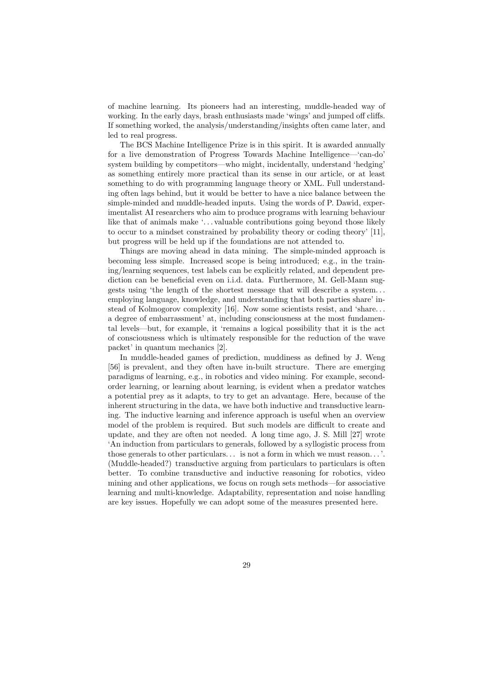of machine learning. Its pioneers had an interesting, muddle-headed way of working. In the early days, brash enthusiasts made 'wings' and jumped off cliffs. If something worked, the analysis/understanding/insights often came later, and led to real progress.

The BCS Machine Intelligence Prize is in this spirit. It is awarded annually for a live demonstration of Progress Towards Machine Intelligence—'can-do' system building by competitors—who might, incidentally, understand 'hedging' as something entirely more practical than its sense in our article, or at least something to do with programming language theory or XML. Full understanding often lags behind, but it would be better to have a nice balance between the simple-minded and muddle-headed inputs. Using the words of P. Dawid, experimentalist AI researchers who aim to produce programs with learning behaviour like that of animals make '. . . valuable contributions going beyond those likely to occur to a mindset constrained by probability theory or coding theory' [11], but progress will be held up if the foundations are not attended to.

Things are moving ahead in data mining. The simple-minded approach is becoming less simple. Increased scope is being introduced; e.g., in the training/learning sequences, test labels can be explicitly related, and dependent prediction can be beneficial even on i.i.d. data. Furthermore, M. Gell-Mann suggests using 'the length of the shortest message that will describe a system. . . employing language, knowledge, and understanding that both parties share' instead of Kolmogorov complexity [16]. Now some scientists resist, and 'share. . . a degree of embarrassment' at, including consciousness at the most fundamental levels—but, for example, it 'remains a logical possibility that it is the act of consciousness which is ultimately responsible for the reduction of the wave packet' in quantum mechanics [2].

In muddle-headed games of prediction, muddiness as defined by J. Weng [56] is prevalent, and they often have in-built structure. There are emerging paradigms of learning, e.g., in robotics and video mining. For example, secondorder learning, or learning about learning, is evident when a predator watches a potential prey as it adapts, to try to get an advantage. Here, because of the inherent structuring in the data, we have both inductive and transductive learning. The inductive learning and inference approach is useful when an overview model of the problem is required. But such models are difficult to create and update, and they are often not needed. A long time ago, J. S. Mill [27] wrote 'An induction from particulars to generals, followed by a syllogistic process from those generals to other particulars. . . is not a form in which we must reason. . . '. (Muddle-headed?) transductive arguing from particulars to particulars is often better. To combine transductive and inductive reasoning for robotics, video mining and other applications, we focus on rough sets methods—for associative learning and multi-knowledge. Adaptability, representation and noise handling are key issues. Hopefully we can adopt some of the measures presented here.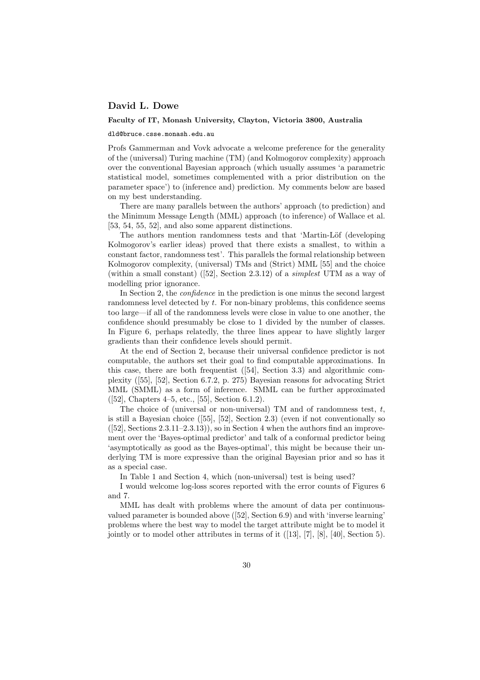# David L. Dowe

### Faculty of IT, Monash University, Clayton, Victoria 3800, Australia

#### dld@bruce.csse.monash.edu.au

Profs Gammerman and Vovk advocate a welcome preference for the generality of the (universal) Turing machine (TM) (and Kolmogorov complexity) approach over the conventional Bayesian approach (which usually assumes 'a parametric statistical model, sometimes complemented with a prior distribution on the parameter space') to (inference and) prediction. My comments below are based on my best understanding.

There are many parallels between the authors' approach (to prediction) and the Minimum Message Length (MML) approach (to inference) of Wallace et al. [53, 54, 55, 52], and also some apparent distinctions.

The authors mention randomness tests and that 'Martin-Löf (developing Kolmogorov's earlier ideas) proved that there exists a smallest, to within a constant factor, randomness test'. This parallels the formal relationship between Kolmogorov complexity, (universal) TMs and (Strict) MML [55] and the choice (within a small constant) ([52], Section 2.3.12) of a simplest UTM as a way of modelling prior ignorance.

In Section 2, the confidence in the prediction is one minus the second largest randomness level detected by t. For non-binary problems, this confidence seems too large—if all of the randomness levels were close in value to one another, the confidence should presumably be close to 1 divided by the number of classes. In Figure 6, perhaps relatedly, the three lines appear to have slightly larger gradients than their confidence levels should permit.

At the end of Section 2, because their universal confidence predictor is not computable, the authors set their goal to find computable approximations. In this case, there are both frequentist ([54], Section 3.3) and algorithmic complexity ([55], [52], Section 6.7.2, p. 275) Bayesian reasons for advocating Strict MML (SMML) as a form of inference. SMML can be further approximated ([52], Chapters 4–5, etc., [55], Section 6.1.2).

The choice of (universal or non-universal) TM and of randomness test,  $t$ , is still a Bayesian choice ([55], [52], Section 2.3) (even if not conventionally so  $([52],$  Sections  $(2.3.11-2.3.13)$ , so in Section 4 when the authors find an improvement over the 'Bayes-optimal predictor' and talk of a conformal predictor being 'asymptotically as good as the Bayes-optimal', this might be because their underlying TM is more expressive than the original Bayesian prior and so has it as a special case.

In Table 1 and Section 4, which (non-universal) test is being used?

I would welcome log-loss scores reported with the error counts of Figures 6 and 7.

MML has dealt with problems where the amount of data per continuousvalued parameter is bounded above ([52], Section 6.9) and with 'inverse learning' problems where the best way to model the target attribute might be to model it jointly or to model other attributes in terms of it ([13], [7], [8], [40], Section 5).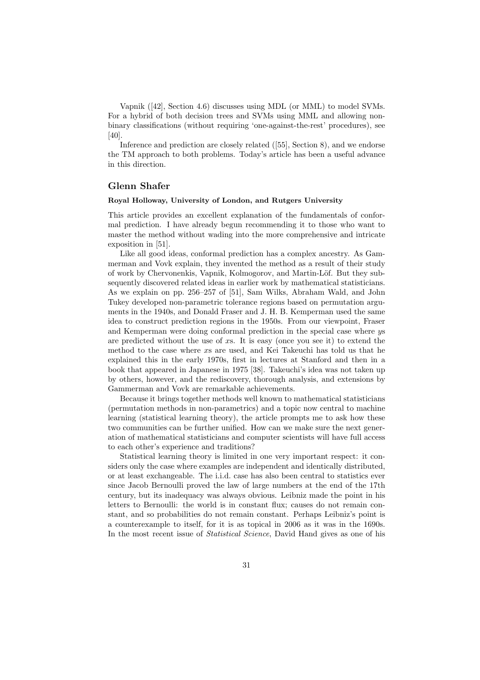Vapnik ([42], Section 4.6) discusses using MDL (or MML) to model SVMs. For a hybrid of both decision trees and SVMs using MML and allowing nonbinary classifications (without requiring 'one-against-the-rest' procedures), see [40].

Inference and prediction are closely related ([55], Section 8), and we endorse the TM approach to both problems. Today's article has been a useful advance in this direction.

# Glenn Shafer

#### Royal Holloway, University of London, and Rutgers University

This article provides an excellent explanation of the fundamentals of conformal prediction. I have already begun recommending it to those who want to master the method without wading into the more comprehensive and intricate exposition in [51].

Like all good ideas, conformal prediction has a complex ancestry. As Gammerman and Vovk explain, they invented the method as a result of their study of work by Chervonenkis, Vapnik, Kolmogorov, and Martin-Löf. But they subsequently discovered related ideas in earlier work by mathematical statisticians. As we explain on pp. 256–257 of [51], Sam Wilks, Abraham Wald, and John Tukey developed non-parametric tolerance regions based on permutation arguments in the 1940s, and Donald Fraser and J. H. B. Kemperman used the same idea to construct prediction regions in the 1950s. From our viewpoint, Fraser and Kemperman were doing conformal prediction in the special case where ys are predicted without the use of xs. It is easy (once you see it) to extend the method to the case where xs are used, and Kei Takeuchi has told us that he explained this in the early 1970s, first in lectures at Stanford and then in a book that appeared in Japanese in 1975 [38]. Takeuchi's idea was not taken up by others, however, and the rediscovery, thorough analysis, and extensions by Gammerman and Vovk are remarkable achievements.

Because it brings together methods well known to mathematical statisticians (permutation methods in non-parametrics) and a topic now central to machine learning (statistical learning theory), the article prompts me to ask how these two communities can be further unified. How can we make sure the next generation of mathematical statisticians and computer scientists will have full access to each other's experience and traditions?

Statistical learning theory is limited in one very important respect: it considers only the case where examples are independent and identically distributed, or at least exchangeable. The i.i.d. case has also been central to statistics ever since Jacob Bernoulli proved the law of large numbers at the end of the 17th century, but its inadequacy was always obvious. Leibniz made the point in his letters to Bernoulli: the world is in constant flux; causes do not remain constant, and so probabilities do not remain constant. Perhaps Leibniz's point is a counterexample to itself, for it is as topical in 2006 as it was in the 1690s. In the most recent issue of Statistical Science, David Hand gives as one of his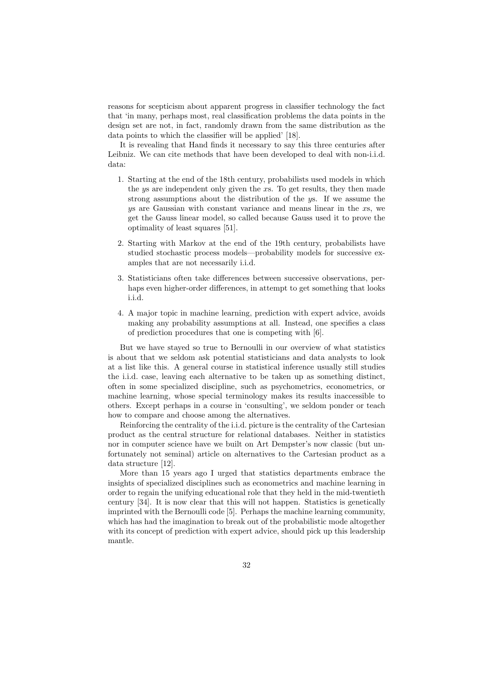reasons for scepticism about apparent progress in classifier technology the fact that 'in many, perhaps most, real classification problems the data points in the design set are not, in fact, randomly drawn from the same distribution as the data points to which the classifier will be applied' [18].

It is revealing that Hand finds it necessary to say this three centuries after Leibniz. We can cite methods that have been developed to deal with non-i.i.d. data:

- 1. Starting at the end of the 18th century, probabilists used models in which the ys are independent only given the xs. To get results, they then made strong assumptions about the distribution of the ys. If we assume the ys are Gaussian with constant variance and means linear in the xs, we get the Gauss linear model, so called because Gauss used it to prove the optimality of least squares [51].
- 2. Starting with Markov at the end of the 19th century, probabilists have studied stochastic process models—probability models for successive examples that are not necessarily i.i.d.
- 3. Statisticians often take differences between successive observations, perhaps even higher-order differences, in attempt to get something that looks i.i.d.
- 4. A major topic in machine learning, prediction with expert advice, avoids making any probability assumptions at all. Instead, one specifies a class of prediction procedures that one is competing with [6].

But we have stayed so true to Bernoulli in our overview of what statistics is about that we seldom ask potential statisticians and data analysts to look at a list like this. A general course in statistical inference usually still studies the i.i.d. case, leaving each alternative to be taken up as something distinct, often in some specialized discipline, such as psychometrics, econometrics, or machine learning, whose special terminology makes its results inaccessible to others. Except perhaps in a course in 'consulting', we seldom ponder or teach how to compare and choose among the alternatives.

Reinforcing the centrality of the i.i.d. picture is the centrality of the Cartesian product as the central structure for relational databases. Neither in statistics nor in computer science have we built on Art Dempster's now classic (but unfortunately not seminal) article on alternatives to the Cartesian product as a data structure [12].

More than 15 years ago I urged that statistics departments embrace the insights of specialized disciplines such as econometrics and machine learning in order to regain the unifying educational role that they held in the mid-twentieth century [34]. It is now clear that this will not happen. Statistics is genetically imprinted with the Bernoulli code [5]. Perhaps the machine learning community, which has had the imagination to break out of the probabilistic mode altogether with its concept of prediction with expert advice, should pick up this leadership mantle.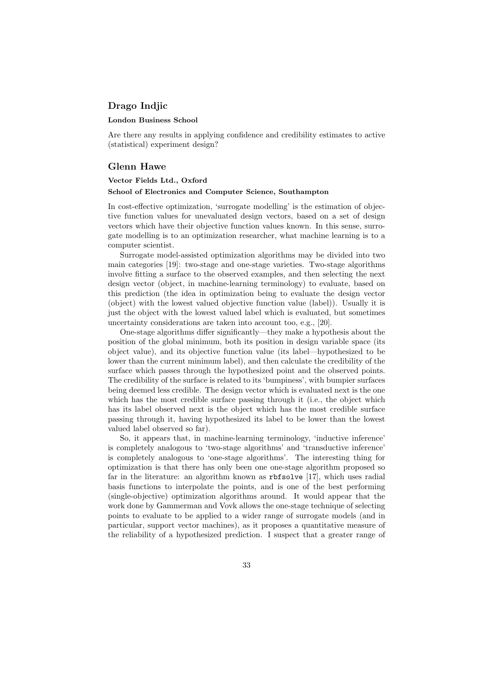# Drago Indjic

### London Business School

Are there any results in applying confidence and credibility estimates to active (statistical) experiment design?

# Glenn Hawe

### Vector Fields Ltd., Oxford

#### School of Electronics and Computer Science, Southampton

In cost-effective optimization, 'surrogate modelling' is the estimation of objective function values for unevaluated design vectors, based on a set of design vectors which have their objective function values known. In this sense, surrogate modelling is to an optimization researcher, what machine learning is to a computer scientist.

Surrogate model-assisted optimization algorithms may be divided into two main categories [19]: two-stage and one-stage varieties. Two-stage algorithms involve fitting a surface to the observed examples, and then selecting the next design vector (object, in machine-learning terminology) to evaluate, based on this prediction (the idea in optimization being to evaluate the design vector (object) with the lowest valued objective function value (label)). Usually it is just the object with the lowest valued label which is evaluated, but sometimes uncertainty considerations are taken into account too, e.g., [20].

One-stage algorithms differ significantly—they make a hypothesis about the position of the global minimum, both its position in design variable space (its object value), and its objective function value (its label—hypothesized to be lower than the current minimum label), and then calculate the credibility of the surface which passes through the hypothesized point and the observed points. The credibility of the surface is related to its 'bumpiness', with bumpier surfaces being deemed less credible. The design vector which is evaluated next is the one which has the most credible surface passing through it (i.e., the object which has its label observed next is the object which has the most credible surface passing through it, having hypothesized its label to be lower than the lowest valued label observed so far).

So, it appears that, in machine-learning terminology, 'inductive inference' is completely analogous to 'two-stage algorithms' and 'transductive inference' is completely analogous to 'one-stage algorithms'. The interesting thing for optimization is that there has only been one one-stage algorithm proposed so far in the literature: an algorithm known as rbfsolve [17], which uses radial basis functions to interpolate the points, and is one of the best performing (single-objective) optimization algorithms around. It would appear that the work done by Gammerman and Vovk allows the one-stage technique of selecting points to evaluate to be applied to a wider range of surrogate models (and in particular, support vector machines), as it proposes a quantitative measure of the reliability of a hypothesized prediction. I suspect that a greater range of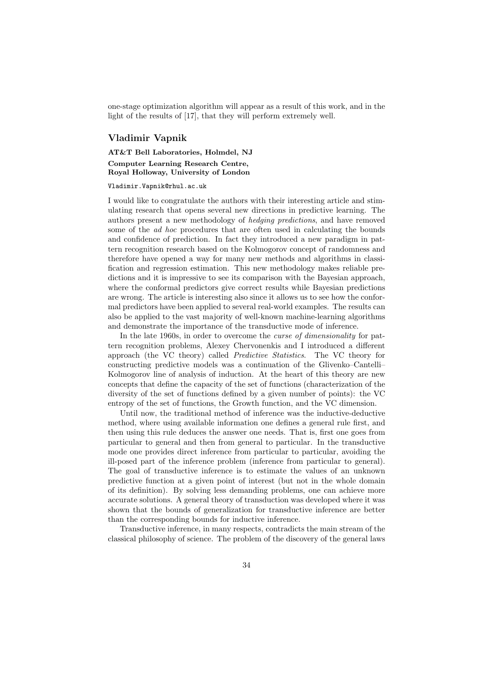one-stage optimization algorithm will appear as a result of this work, and in the light of the results of [17], that they will perform extremely well.

### Vladimir Vapnik

# AT&T Bell Laboratories, Holmdel, NJ Computer Learning Research Centre, Royal Holloway, University of London

#### Vladimir.Vapnik@rhul.ac.uk

I would like to congratulate the authors with their interesting article and stimulating research that opens several new directions in predictive learning. The authors present a new methodology of hedging predictions, and have removed some of the ad hoc procedures that are often used in calculating the bounds and confidence of prediction. In fact they introduced a new paradigm in pattern recognition research based on the Kolmogorov concept of randomness and therefore have opened a way for many new methods and algorithms in classification and regression estimation. This new methodology makes reliable predictions and it is impressive to see its comparison with the Bayesian approach, where the conformal predictors give correct results while Bayesian predictions are wrong. The article is interesting also since it allows us to see how the conformal predictors have been applied to several real-world examples. The results can also be applied to the vast majority of well-known machine-learning algorithms and demonstrate the importance of the transductive mode of inference.

In the late 1960s, in order to overcome the curse of dimensionality for pattern recognition problems, Alexey Chervonenkis and I introduced a different approach (the VC theory) called Predictive Statistics. The VC theory for constructing predictive models was a continuation of the Glivenko–Cantelli– Kolmogorov line of analysis of induction. At the heart of this theory are new concepts that define the capacity of the set of functions (characterization of the diversity of the set of functions defined by a given number of points): the VC entropy of the set of functions, the Growth function, and the VC dimension.

Until now, the traditional method of inference was the inductive-deductive method, where using available information one defines a general rule first, and then using this rule deduces the answer one needs. That is, first one goes from particular to general and then from general to particular. In the transductive mode one provides direct inference from particular to particular, avoiding the ill-posed part of the inference problem (inference from particular to general). The goal of transductive inference is to estimate the values of an unknown predictive function at a given point of interest (but not in the whole domain of its definition). By solving less demanding problems, one can achieve more accurate solutions. A general theory of transduction was developed where it was shown that the bounds of generalization for transductive inference are better than the corresponding bounds for inductive inference.

Transductive inference, in many respects, contradicts the main stream of the classical philosophy of science. The problem of the discovery of the general laws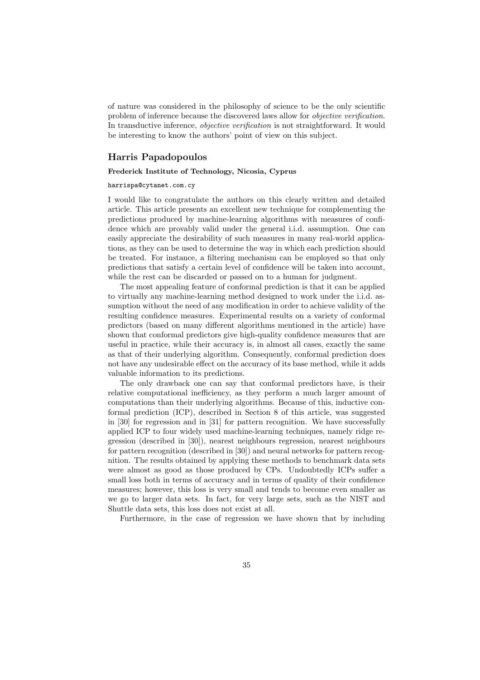of nature was considered in the philosophy of science to be the only scientific problem of inference because the discovered laws allow for objective verification. In transductive inference, objective verification is not straightforward. It would be interesting to know the authors' point of view on this subject.

# Harris Papadopoulos

#### Frederick Institute of Technology, Nicosia, Cyprus

#### harrispa@cytanet.com.cy

I would like to congratulate the authors on this clearly written and detailed article. This article presents an excellent new technique for complementing the predictions produced by machine-learning algorithms with measures of confidence which are provably valid under the general i.i.d. assumption. One can easily appreciate the desirability of such measures in many real-world applications, as they can be used to determine the way in which each prediction should be treated. For instance, a filtering mechanism can be employed so that only predictions that satisfy a certain level of confidence will be taken into account, while the rest can be discarded or passed on to a human for judgment.

The most appealing feature of conformal prediction is that it can be applied to virtually any machine-learning method designed to work under the i.i.d. assumption without the need of any modification in order to achieve validity of the resulting confidence measures. Experimental results on a variety of conformal predictors (based on many different algorithms mentioned in the article) have shown that conformal predictors give high-quality confidence measures that are useful in practice, while their accuracy is, in almost all cases, exactly the same as that of their underlying algorithm. Consequently, conformal prediction does not have any undesirable effect on the accuracy of its base method, while it adds valuable information to its predictions.

The only drawback one can say that conformal predictors have, is their relative computational inefficiency, as they perform a much larger amount of computations than their underlying algorithms. Because of this, inductive conformal prediction (ICP), described in Section 8 of this article, was suggested in [30] for regression and in [31] for pattern recognition. We have successfully applied ICP to four widely used machine-learning techniques, namely ridge regression (described in [30]), nearest neighbours regression, nearest neighbours for pattern recognition (described in [30]) and neural networks for pattern recognition. The results obtained by applying these methods to benchmark data sets were almost as good as those produced by CPs. Undoubtedly ICPs suffer a small loss both in terms of accuracy and in terms of quality of their confidence measures; however, this loss is very small and tends to become even smaller as we go to larger data sets. In fact, for very large sets, such as the NIST and Shuttle data sets, this loss does not exist at all.

Furthermore, in the case of regression we have shown that by including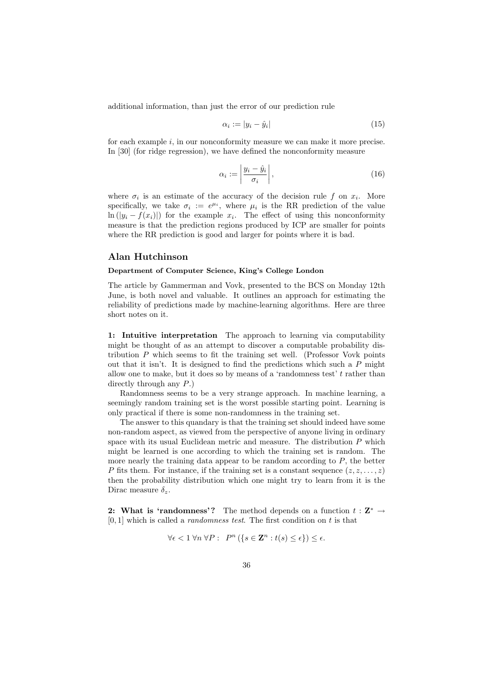additional information, than just the error of our prediction rule

$$
\alpha_i := |y_i - \hat{y}_i| \tag{15}
$$

for each example i, in our nonconformity measure we can make it more precise. In [30] (for ridge regression), we have defined the nonconformity measure

$$
\alpha_i := \left| \frac{y_i - \hat{y}_i}{\sigma_i} \right|,\tag{16}
$$

where  $\sigma_i$  is an estimate of the accuracy of the decision rule f on  $x_i$ . More specifically, we take  $\sigma_i := e^{\mu_i}$ , where  $\mu_i$  is the RR prediction of the value  $\ln(|y_i - f(x_i)|)$  for the example  $x_i$ . The effect of using this nonconformity measure is that the prediction regions produced by ICP are smaller for points where the RR prediction is good and larger for points where it is bad.

### Alan Hutchinson

#### Department of Computer Science, King's College London

The article by Gammerman and Vovk, presented to the BCS on Monday 12th June, is both novel and valuable. It outlines an approach for estimating the reliability of predictions made by machine-learning algorithms. Here are three short notes on it.

1: Intuitive interpretation The approach to learning via computability might be thought of as an attempt to discover a computable probability distribution P which seems to fit the training set well. (Professor Vovk points out that it isn't. It is designed to find the predictions which such a  $P$  might allow one to make, but it does so by means of a 'randomness test'  $t$  rather than directly through any  $P$ .)

Randomness seems to be a very strange approach. In machine learning, a seemingly random training set is the worst possible starting point. Learning is only practical if there is some non-randomness in the training set.

The answer to this quandary is that the training set should indeed have some non-random aspect, as viewed from the perspective of anyone living in ordinary space with its usual Euclidean metric and measure. The distribution  $P$  which might be learned is one according to which the training set is random. The more nearly the training data appear to be random according to  $P$ , the better P fits them. For instance, if the training set is a constant sequence  $(z, z, \ldots, z)$ then the probability distribution which one might try to learn from it is the Dirac measure  $\delta_z$ .

2: What is 'randomness'? The method depends on a function  $t : \mathbb{Z}^* \to$  $[0, 1]$  which is called a *randomness test*. The first condition on t is that

$$
\forall \epsilon < 1 \,\forall n \,\forall P: \ P^n \left( \{ s \in \mathbf{Z}^n : t(s) \le \epsilon \} \right) \le \epsilon.
$$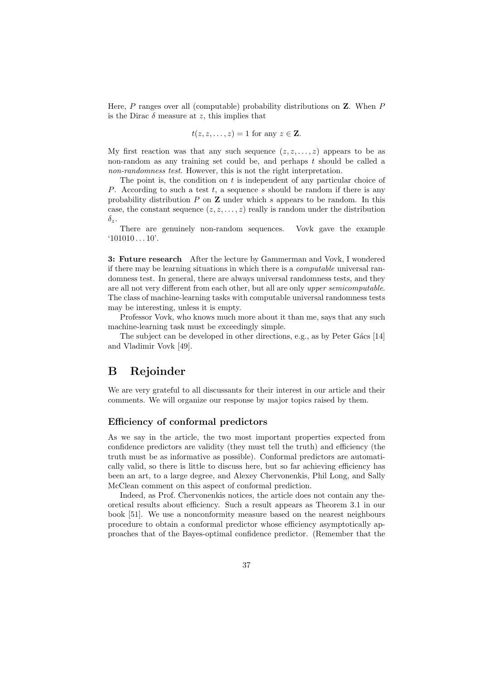Here, P ranges over all (computable) probability distributions on  $Z$ . When P is the Dirac  $\delta$  measure at z, this implies that

$$
t(z, z, \dots, z) = 1
$$
 for any  $z \in \mathbf{Z}$ .

My first reaction was that any such sequence  $(z, z, \ldots, z)$  appears to be as non-random as any training set could be, and perhaps t should be called a non-randomness test. However, this is not the right interpretation.

The point is, the condition on  $t$  is independent of any particular choice of P. According to such a test  $t$ , a sequence s should be random if there is any probability distribution  $P$  on  $Z$  under which s appears to be random. In this case, the constant sequence  $(z, z, \ldots, z)$  really is random under the distribution  $\delta_z$ .

There are genuinely non-random sequences. Vovk gave the example  $'101010...10'$ .

3: Future research After the lecture by Gammerman and Vovk, I wondered if there may be learning situations in which there is a computable universal randomness test. In general, there are always universal randomness tests, and they are all not very different from each other, but all are only upper semicomputable. The class of machine-learning tasks with computable universal randomness tests may be interesting, unless it is empty.

Professor Vovk, who knows much more about it than me, says that any such machine-learning task must be exceedingly simple.

The subject can be developed in other directions, e.g., as by Peter Gács [14] and Vladimir Vovk [49].

# B Rejoinder

We are very grateful to all discussants for their interest in our article and their comments. We will organize our response by major topics raised by them.

# Efficiency of conformal predictors

As we say in the article, the two most important properties expected from confidence predictors are validity (they must tell the truth) and efficiency (the truth must be as informative as possible). Conformal predictors are automatically valid, so there is little to discuss here, but so far achieving efficiency has been an art, to a large degree, and Alexey Chervonenkis, Phil Long, and Sally McClean comment on this aspect of conformal prediction.

Indeed, as Prof. Chervonenkis notices, the article does not contain any theoretical results about efficiency. Such a result appears as Theorem 3.1 in our book [51]. We use a nonconformity measure based on the nearest neighbours procedure to obtain a conformal predictor whose efficiency asymptotically approaches that of the Bayes-optimal confidence predictor. (Remember that the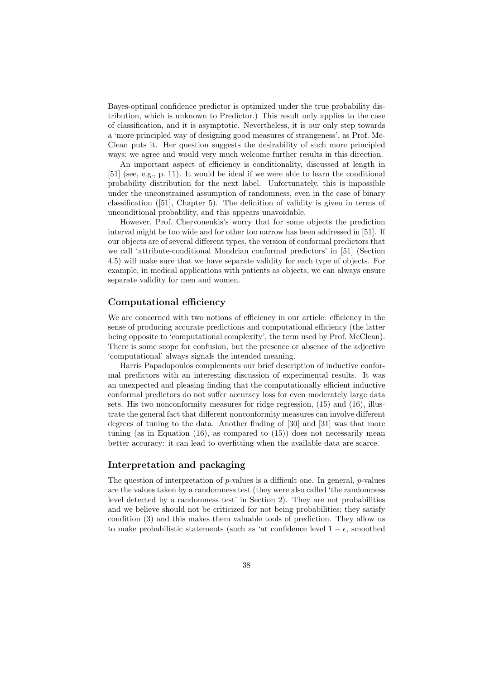Bayes-optimal confidence predictor is optimized under the true probability distribution, which is unknown to Predictor.) This result only applies to the case of classification, and it is asymptotic. Nevertheless, it is our only step towards a 'more principled way of designing good measures of strangeness', as Prof. Mc-Clean puts it. Her question suggests the desirability of such more principled ways; we agree and would very much welcome further results in this direction.

An important aspect of efficiency is conditionality, discussed at length in [51] (see, e.g., p. 11). It would be ideal if we were able to learn the conditional probability distribution for the next label. Unfortunately, this is impossible under the unconstrained assumption of randomness, even in the case of binary classification ([51], Chapter 5). The definition of validity is given in terms of unconditional probability, and this appears unavoidable.

However, Prof. Chervonenkis's worry that for some objects the prediction interval might be too wide and for other too narrow has been addressed in [51]. If our objects are of several different types, the version of conformal predictors that we call 'attribute-conditional Mondrian conformal predictors' in [51] (Section 4.5) will make sure that we have separate validity for each type of objects. For example, in medical applications with patients as objects, we can always ensure separate validity for men and women.

# Computational efficiency

We are concerned with two notions of efficiency in our article: efficiency in the sense of producing accurate predictions and computational efficiency (the latter being opposite to 'computational complexity', the term used by Prof. McClean). There is some scope for confusion, but the presence or absence of the adjective 'computational' always signals the intended meaning.

Harris Papadopoulos complements our brief description of inductive conformal predictors with an interesting discussion of experimental results. It was an unexpected and pleasing finding that the computationally efficient inductive conformal predictors do not suffer accuracy loss for even moderately large data sets. His two nonconformity measures for ridge regression, (15) and (16), illustrate the general fact that different nonconformity measures can involve different degrees of tuning to the data. Another finding of [30] and [31] was that more tuning (as in Equation  $(16)$ , as compared to  $(15)$ ) does not necessarily mean better accuracy: it can lead to overfitting when the available data are scarce.

# Interpretation and packaging

The question of interpretation of  $p$ -values is a difficult one. In general,  $p$ -values are the values taken by a randomness test (they were also called 'the randomness level detected by a randomness test' in Section 2). They are not probabilities and we believe should not be criticized for not being probabilities; they satisfy condition (3) and this makes them valuable tools of prediction. They allow us to make probabilistic statements (such as 'at confidence level  $1 - \epsilon$ , smoothed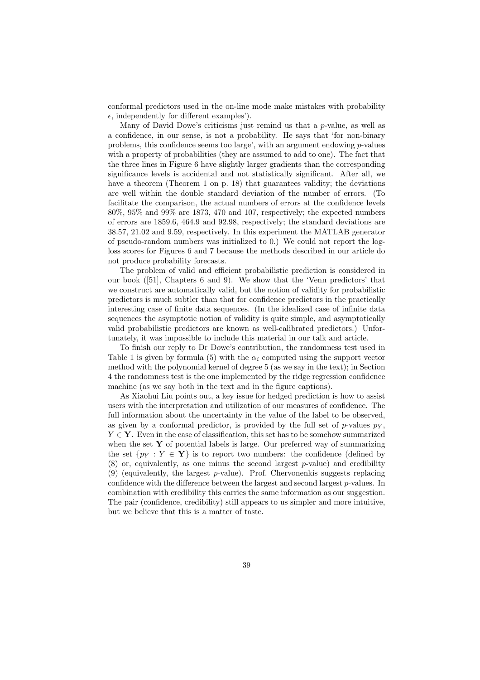conformal predictors used in the on-line mode make mistakes with probability  $\epsilon$ , independently for different examples').

Many of David Dowe's criticisms just remind us that a  $p$ -value, as well as a confidence, in our sense, is not a probability. He says that 'for non-binary problems, this confidence seems too large', with an argument endowing  $p$ -values with a property of probabilities (they are assumed to add to one). The fact that the three lines in Figure 6 have slightly larger gradients than the corresponding significance levels is accidental and not statistically significant. After all, we have a theorem (Theorem 1 on p. 18) that guarantees validity; the deviations are well within the double standard deviation of the number of errors. (To facilitate the comparison, the actual numbers of errors at the confidence levels 80%, 95% and 99% are 1873, 470 and 107, respectively; the expected numbers of errors are 1859.6, 464.9 and 92.98, respectively; the standard deviations are 38.57, 21.02 and 9.59, respectively. In this experiment the MATLAB generator of pseudo-random numbers was initialized to 0.) We could not report the logloss scores for Figures 6 and 7 because the methods described in our article do not produce probability forecasts.

The problem of valid and efficient probabilistic prediction is considered in our book ([51], Chapters 6 and 9). We show that the 'Venn predictors' that we construct are automatically valid, but the notion of validity for probabilistic predictors is much subtler than that for confidence predictors in the practically interesting case of finite data sequences. (In the idealized case of infinite data sequences the asymptotic notion of validity is quite simple, and asymptotically valid probabilistic predictors are known as well-calibrated predictors.) Unfortunately, it was impossible to include this material in our talk and article.

To finish our reply to Dr Dowe's contribution, the randomness test used in Table 1 is given by formula (5) with the  $\alpha_i$  computed using the support vector method with the polynomial kernel of degree 5 (as we say in the text); in Section 4 the randomness test is the one implemented by the ridge regression confidence machine (as we say both in the text and in the figure captions).

As Xiaohui Liu points out, a key issue for hedged prediction is how to assist users with the interpretation and utilization of our measures of confidence. The full information about the uncertainty in the value of the label to be observed, as given by a conformal predictor, is provided by the full set of p-values  $p_Y$ .  $Y \in \mathbf{Y}$ . Even in the case of classification, this set has to be somehow summarized when the set  $\bf{Y}$  of potential labels is large. Our preferred way of summarizing the set  $\{p_Y : Y \in Y\}$  is to report two numbers: the confidence (defined by  $(8)$  or, equivalently, as one minus the second largest p-value) and credibility (9) (equivalently, the largest p-value). Prof. Chervonenkis suggests replacing confidence with the difference between the largest and second largest  $p$ -values. In combination with credibility this carries the same information as our suggestion. The pair (confidence, credibility) still appears to us simpler and more intuitive, but we believe that this is a matter of taste.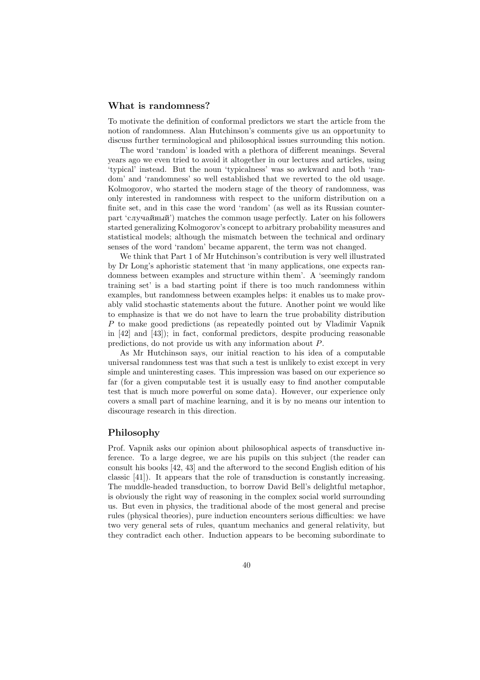### What is randomness?

To motivate the definition of conformal predictors we start the article from the notion of randomness. Alan Hutchinson's comments give us an opportunity to discuss further terminological and philosophical issues surrounding this notion.

The word 'random' is loaded with a plethora of different meanings. Several years ago we even tried to avoid it altogether in our lectures and articles, using 'typical' instead. But the noun 'typicalness' was so awkward and both 'random' and 'randomness' so well established that we reverted to the old usage. Kolmogorov, who started the modern stage of the theory of randomness, was only interested in randomness with respect to the uniform distribution on a finite set, and in this case the word 'random' (as well as its Russian counterpart 'случайный') matches the common usage perfectly. Later on his followers started generalizing Kolmogorov's concept to arbitrary probability measures and statistical models; although the mismatch between the technical and ordinary senses of the word 'random' became apparent, the term was not changed.

We think that Part 1 of Mr Hutchinson's contribution is very well illustrated by Dr Long's aphoristic statement that 'in many applications, one expects randomness between examples and structure within them'. A 'seemingly random training set' is a bad starting point if there is too much randomness within examples, but randomness between examples helps: it enables us to make provably valid stochastic statements about the future. Another point we would like to emphasize is that we do not have to learn the true probability distribution P to make good predictions (as repeatedly pointed out by Vladimir Vapnik in [42] and [43]); in fact, conformal predictors, despite producing reasonable predictions, do not provide us with any information about P.

As Mr Hutchinson says, our initial reaction to his idea of a computable universal randomness test was that such a test is unlikely to exist except in very simple and uninteresting cases. This impression was based on our experience so far (for a given computable test it is usually easy to find another computable test that is much more powerful on some data). However, our experience only covers a small part of machine learning, and it is by no means our intention to discourage research in this direction.

## Philosophy

Prof. Vapnik asks our opinion about philosophical aspects of transductive inference. To a large degree, we are his pupils on this subject (the reader can consult his books [42, 43] and the afterword to the second English edition of his classic [41]). It appears that the role of transduction is constantly increasing. The muddle-headed transduction, to borrow David Bell's delightful metaphor, is obviously the right way of reasoning in the complex social world surrounding us. But even in physics, the traditional abode of the most general and precise rules (physical theories), pure induction encounters serious difficulties: we have two very general sets of rules, quantum mechanics and general relativity, but they contradict each other. Induction appears to be becoming subordinate to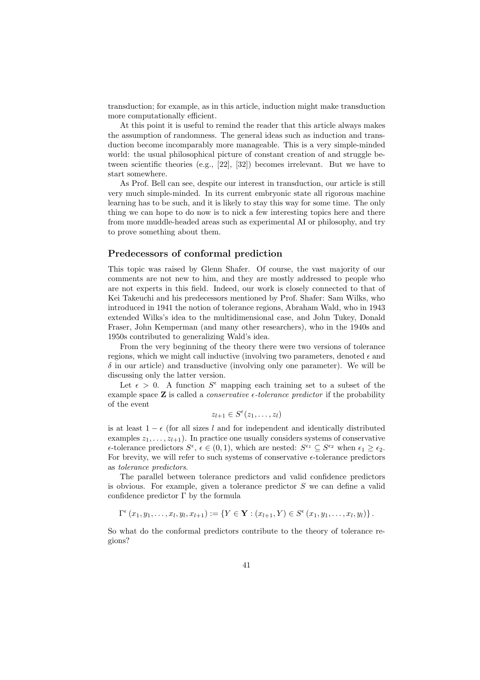transduction; for example, as in this article, induction might make transduction more computationally efficient.

At this point it is useful to remind the reader that this article always makes the assumption of randomness. The general ideas such as induction and transduction become incomparably more manageable. This is a very simple-minded world: the usual philosophical picture of constant creation of and struggle between scientific theories (e.g., [22], [32]) becomes irrelevant. But we have to start somewhere.

As Prof. Bell can see, despite our interest in transduction, our article is still very much simple-minded. In its current embryonic state all rigorous machine learning has to be such, and it is likely to stay this way for some time. The only thing we can hope to do now is to nick a few interesting topics here and there from more muddle-headed areas such as experimental AI or philosophy, and try to prove something about them.

# Predecessors of conformal prediction

This topic was raised by Glenn Shafer. Of course, the vast majority of our comments are not new to him, and they are mostly addressed to people who are not experts in this field. Indeed, our work is closely connected to that of Kei Takeuchi and his predecessors mentioned by Prof. Shafer: Sam Wilks, who introduced in 1941 the notion of tolerance regions, Abraham Wald, who in 1943 extended Wilks's idea to the multidimensional case, and John Tukey, Donald Fraser, John Kemperman (and many other researchers), who in the 1940s and 1950s contributed to generalizing Wald's idea.

From the very beginning of the theory there were two versions of tolerance regions, which we might call inductive (involving two parameters, denoted  $\epsilon$  and  $\delta$  in our article) and transductive (involving only one parameter). We will be discussing only the latter version.

Let  $\epsilon > 0$ . A function  $S^{\epsilon}$  mapping each training set to a subset of the example space  $\mathbf{Z}$  is called a *conservative*  $\epsilon$ *-tolerance predictor* if the probability of the event

$$
z_{l+1} \in S^{\epsilon}(z_1,\ldots,z_l)
$$

is at least  $1 - \epsilon$  (for all sizes l and for independent and identically distributed examples  $z_1, \ldots, z_{l+1}$ ). In practice one usually considers systems of conservative  $\epsilon$ -tolerance predictors  $S^{\epsilon}$ ,  $\epsilon \in (0,1)$ , which are nested:  $S^{\epsilon_1} \subseteq S^{\epsilon_2}$  when  $\epsilon_1 \geq \epsilon_2$ . For brevity, we will refer to such systems of conservative  $\epsilon$ -tolerance predictors as tolerance predictors.

The parallel between tolerance predictors and valid confidence predictors is obvious. For example, given a tolerance predictor S we can define a valid confidence predictor  $\Gamma$  by the formula

 $\Gamma^{\epsilon}(x_1, y_1, \ldots, x_l, y_l, x_{l+1}) := \{ Y \in \mathbf{Y} : (x_{l+1}, Y) \in S^{\epsilon}(x_1, y_1, \ldots, x_l, y_l) \}.$ 

So what do the conformal predictors contribute to the theory of tolerance regions?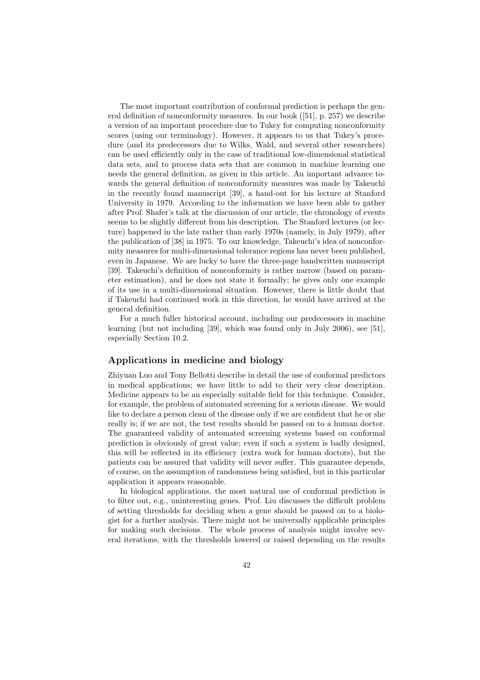The most important contribution of conformal prediction is perhaps the general definition of nonconformity measures. In our book ([51], p. 257) we describe a version of an important procedure due to Tukey for computing nonconformity scores (using our terminology). However, it appears to us that Tukey's procedure (and its predecessors due to Wilks, Wald, and several other researchers) can be used efficiently only in the case of traditional low-dimensional statistical data sets, and to process data sets that are common in machine learning one needs the general definition, as given in this article. An important advance towards the general definition of nonconformity measures was made by Takeuchi in the recently found manuscript [39], a hand-out for his lecture at Stanford University in 1979. According to the information we have been able to gather after Prof. Shafer's talk at the discussion of our article, the chronology of events seems to be slightly different from his description. The Stanford lectures (or lecture) happened in the late rather than early 1970s (namely, in July 1979), after the publication of [38] in 1975. To our knowledge, Takeuchi's idea of nonconformity measures for multi-dimensional tolerance regions has never been published, even in Japanese. We are lucky to have the three-page handwritten manuscript [39]. Takeuchi's definition of nonconformity is rather narrow (based on parameter estimation), and he does not state it formally; he gives only one example of its use in a multi-dimensional situation. However, there is little doubt that if Takeuchi had continued work in this direction, he would have arrived at the general definition.

For a much fuller historical account, including our predecessors in machine learning (but not including [39], which was found only in July 2006), see [51], especially Section 10.2.

### Applications in medicine and biology

Zhiyuan Luo and Tony Bellotti describe in detail the use of conformal predictors in medical applications; we have little to add to their very clear description. Medicine appears to be an especially suitable field for this technique. Consider, for example, the problem of automated screening for a serious disease. We would like to declare a person clean of the disease only if we are confident that he or she really is; if we are not, the test results should be passed on to a human doctor. The guaranteed validity of automated screening systems based on conformal prediction is obviously of great value; even if such a system is badly designed, this will be reflected in its efficiency (extra work for human doctors), but the patients can be assured that validity will never suffer. This guarantee depends, of course, on the assumption of randomness being satisfied, but in this particular application it appears reasonable.

In biological applications, the most natural use of conformal prediction is to filter out, e.g., uninteresting genes. Prof. Liu discusses the difficult problem of setting thresholds for deciding when a gene should be passed on to a biologist for a further analysis. There might not be universally applicable principles for making such decisions. The whole process of analysis might involve several iterations, with the thresholds lowered or raised depending on the results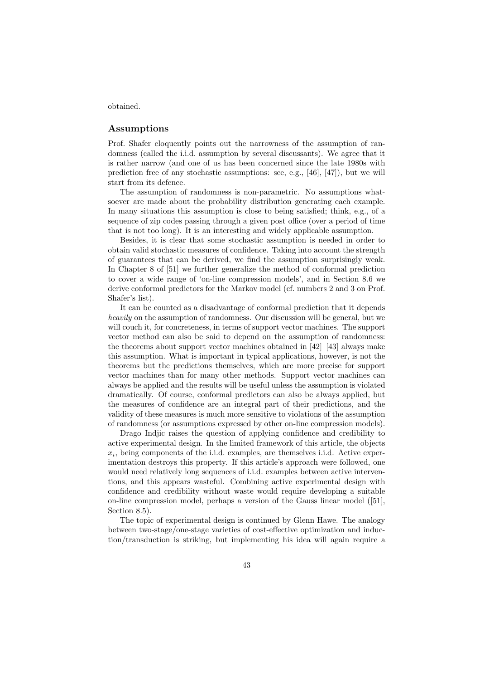obtained.

# Assumptions

Prof. Shafer eloquently points out the narrowness of the assumption of randomness (called the i.i.d. assumption by several discussants). We agree that it is rather narrow (and one of us has been concerned since the late 1980s with prediction free of any stochastic assumptions: see, e.g., [46], [47]), but we will start from its defence.

The assumption of randomness is non-parametric. No assumptions whatsoever are made about the probability distribution generating each example. In many situations this assumption is close to being satisfied; think, e.g., of a sequence of zip codes passing through a given post office (over a period of time that is not too long). It is an interesting and widely applicable assumption.

Besides, it is clear that some stochastic assumption is needed in order to obtain valid stochastic measures of confidence. Taking into account the strength of guarantees that can be derived, we find the assumption surprisingly weak. In Chapter 8 of [51] we further generalize the method of conformal prediction to cover a wide range of 'on-line compression models', and in Section 8.6 we derive conformal predictors for the Markov model (cf. numbers 2 and 3 on Prof. Shafer's list).

It can be counted as a disadvantage of conformal prediction that it depends heavily on the assumption of randomness. Our discussion will be general, but we will couch it, for concreteness, in terms of support vector machines. The support vector method can also be said to depend on the assumption of randomness: the theorems about support vector machines obtained in  $[42]$ – $[43]$  always make this assumption. What is important in typical applications, however, is not the theorems but the predictions themselves, which are more precise for support vector machines than for many other methods. Support vector machines can always be applied and the results will be useful unless the assumption is violated dramatically. Of course, conformal predictors can also be always applied, but the measures of confidence are an integral part of their predictions, and the validity of these measures is much more sensitive to violations of the assumption of randomness (or assumptions expressed by other on-line compression models).

Drago Indjic raises the question of applying confidence and credibility to active experimental design. In the limited framework of this article, the objects  $x_i$ , being components of the i.i.d. examples, are themselves i.i.d. Active experimentation destroys this property. If this article's approach were followed, one would need relatively long sequences of i.i.d. examples between active interventions, and this appears wasteful. Combining active experimental design with confidence and credibility without waste would require developing a suitable on-line compression model, perhaps a version of the Gauss linear model ([51], Section 8.5).

The topic of experimental design is continued by Glenn Hawe. The analogy between two-stage/one-stage varieties of cost-effective optimization and induction/transduction is striking, but implementing his idea will again require a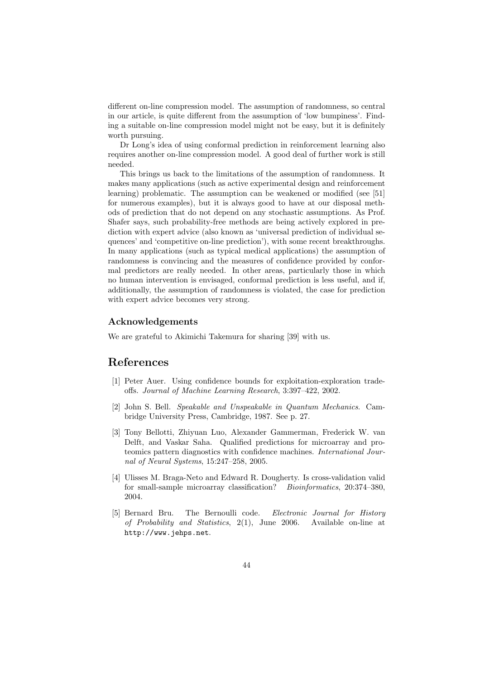different on-line compression model. The assumption of randomness, so central in our article, is quite different from the assumption of 'low bumpiness'. Finding a suitable on-line compression model might not be easy, but it is definitely worth pursuing.

Dr Long's idea of using conformal prediction in reinforcement learning also requires another on-line compression model. A good deal of further work is still needed.

This brings us back to the limitations of the assumption of randomness. It makes many applications (such as active experimental design and reinforcement learning) problematic. The assumption can be weakened or modified (see [51] for numerous examples), but it is always good to have at our disposal methods of prediction that do not depend on any stochastic assumptions. As Prof. Shafer says, such probability-free methods are being actively explored in prediction with expert advice (also known as 'universal prediction of individual sequences' and 'competitive on-line prediction'), with some recent breakthroughs. In many applications (such as typical medical applications) the assumption of randomness is convincing and the measures of confidence provided by conformal predictors are really needed. In other areas, particularly those in which no human intervention is envisaged, conformal prediction is less useful, and if, additionally, the assumption of randomness is violated, the case for prediction with expert advice becomes very strong.

# Acknowledgements

We are grateful to Akimichi Takemura for sharing [39] with us.

# References

- [1] Peter Auer. Using confidence bounds for exploitation-exploration tradeoffs. Journal of Machine Learning Research, 3:397–422, 2002.
- [2] John S. Bell. Speakable and Unspeakable in Quantum Mechanics. Cambridge University Press, Cambridge, 1987. See p. 27.
- [3] Tony Bellotti, Zhiyuan Luo, Alexander Gammerman, Frederick W. van Delft, and Vaskar Saha. Qualified predictions for microarray and proteomics pattern diagnostics with confidence machines. International Journal of Neural Systems, 15:247–258, 2005.
- [4] Ulisses M. Braga-Neto and Edward R. Dougherty. Is cross-validation valid for small-sample microarray classification? Bioinformatics, 20:374–380, 2004.
- [5] Bernard Bru. The Bernoulli code. Electronic Journal for History of Probability and Statistics, 2(1), June 2006. Available on-line at http://www.jehps.net.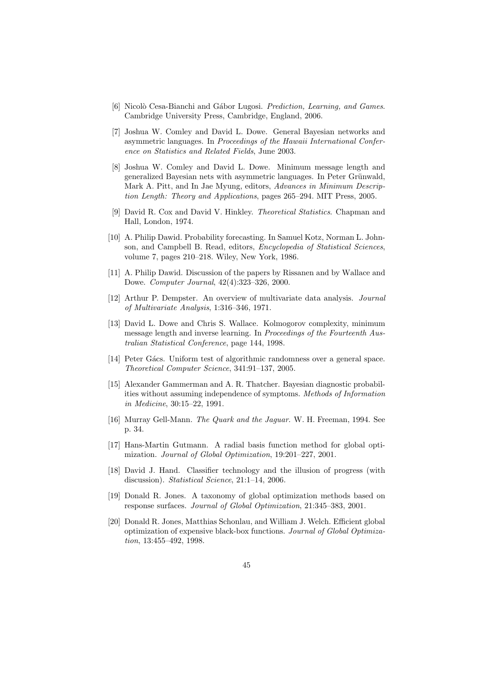- [6] Nicolò Cesa-Bianchi and Gábor Lugosi. Prediction, Learning, and Games. Cambridge University Press, Cambridge, England, 2006.
- [7] Joshua W. Comley and David L. Dowe. General Bayesian networks and asymmetric languages. In Proceedings of the Hawaii International Conference on Statistics and Related Fields, June 2003.
- [8] Joshua W. Comley and David L. Dowe. Minimum message length and generalized Bayesian nets with asymmetric languages. In Peter Grünwald, Mark A. Pitt, and In Jae Myung, editors, Advances in Minimum Description Length: Theory and Applications, pages 265–294. MIT Press, 2005.
- [9] David R. Cox and David V. Hinkley. Theoretical Statistics. Chapman and Hall, London, 1974.
- [10] A. Philip Dawid. Probability forecasting. In Samuel Kotz, Norman L. Johnson, and Campbell B. Read, editors, Encyclopedia of Statistical Sciences, volume 7, pages 210–218. Wiley, New York, 1986.
- [11] A. Philip Dawid. Discussion of the papers by Rissanen and by Wallace and Dowe. Computer Journal, 42(4):323–326, 2000.
- [12] Arthur P. Dempster. An overview of multivariate data analysis. Journal of Multivariate Analysis, 1:316–346, 1971.
- [13] David L. Dowe and Chris S. Wallace. Kolmogorov complexity, minimum message length and inverse learning. In Proceedings of the Fourteenth Australian Statistical Conference, page 144, 1998.
- [14] Peter Gács. Uniform test of algorithmic randomness over a general space. Theoretical Computer Science, 341:91–137, 2005.
- [15] Alexander Gammerman and A. R. Thatcher. Bayesian diagnostic probabilities without assuming independence of symptoms. Methods of Information in Medicine, 30:15–22, 1991.
- [16] Murray Gell-Mann. The Quark and the Jaguar. W. H. Freeman, 1994. See p. 34.
- [17] Hans-Martin Gutmann. A radial basis function method for global optimization. Journal of Global Optimization, 19:201–227, 2001.
- [18] David J. Hand. Classifier technology and the illusion of progress (with discussion). Statistical Science, 21:1-14, 2006.
- [19] Donald R. Jones. A taxonomy of global optimization methods based on response surfaces. Journal of Global Optimization, 21:345–383, 2001.
- [20] Donald R. Jones, Matthias Schonlau, and William J. Welch. Efficient global optimization of expensive black-box functions. Journal of Global Optimization, 13:455–492, 1998.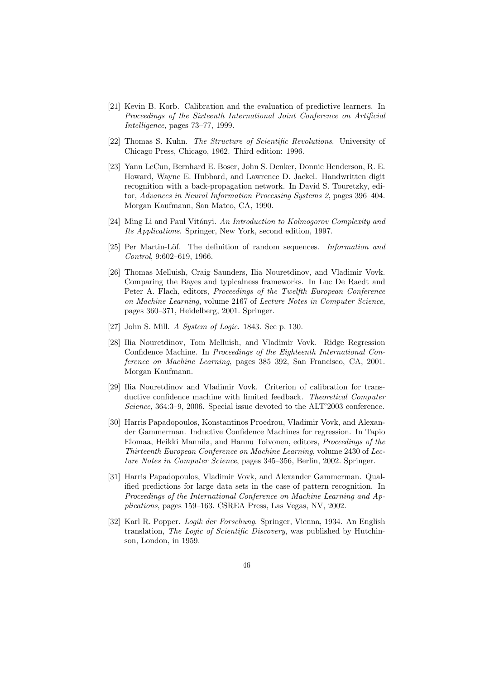- [21] Kevin B. Korb. Calibration and the evaluation of predictive learners. In Proceedings of the Sixteenth International Joint Conference on Artificial Intelligence, pages 73–77, 1999.
- [22] Thomas S. Kuhn. The Structure of Scientific Revolutions. University of Chicago Press, Chicago, 1962. Third edition: 1996.
- [23] Yann LeCun, Bernhard E. Boser, John S. Denker, Donnie Henderson, R. E. Howard, Wayne E. Hubbard, and Lawrence D. Jackel. Handwritten digit recognition with a back-propagation network. In David S. Touretzky, editor, Advances in Neural Information Processing Systems 2, pages 396–404. Morgan Kaufmann, San Mateo, CA, 1990.
- [24] Ming Li and Paul Vitányi. An Introduction to Kolmogorov Complexity and Its Applications. Springer, New York, second edition, 1997.
- [25] Per Martin-Löf. The definition of random sequences. *Information and* Control, 9:602–619, 1966.
- [26] Thomas Melluish, Craig Saunders, Ilia Nouretdinov, and Vladimir Vovk. Comparing the Bayes and typicalness frameworks. In Luc De Raedt and Peter A. Flach, editors, Proceedings of the Twelfth European Conference on Machine Learning, volume 2167 of Lecture Notes in Computer Science, pages 360–371, Heidelberg, 2001. Springer.
- [27] John S. Mill. A System of Logic. 1843. See p. 130.
- [28] Ilia Nouretdinov, Tom Melluish, and Vladimir Vovk. Ridge Regression Confidence Machine. In Proceedings of the Eighteenth International Conference on Machine Learning, pages 385–392, San Francisco, CA, 2001. Morgan Kaufmann.
- [29] Ilia Nouretdinov and Vladimir Vovk. Criterion of calibration for transductive confidence machine with limited feedback. Theoretical Computer Science, 364:3–9, 2006. Special issue devoted to the ALT'2003 conference.
- [30] Harris Papadopoulos, Konstantinos Proedrou, Vladimir Vovk, and Alexander Gammerman. Inductive Confidence Machines for regression. In Tapio Elomaa, Heikki Mannila, and Hannu Toivonen, editors, Proceedings of the Thirteenth European Conference on Machine Learning, volume 2430 of Lecture Notes in Computer Science, pages 345–356, Berlin, 2002. Springer.
- [31] Harris Papadopoulos, Vladimir Vovk, and Alexander Gammerman. Qualified predictions for large data sets in the case of pattern recognition. In Proceedings of the International Conference on Machine Learning and Applications, pages 159–163. CSREA Press, Las Vegas, NV, 2002.
- [32] Karl R. Popper. Logik der Forschung. Springer, Vienna, 1934. An English translation, The Logic of Scientific Discovery, was published by Hutchinson, London, in 1959.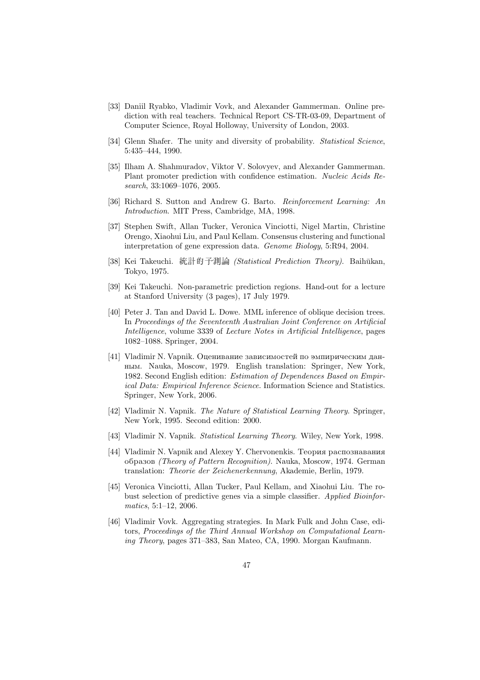- [33] Daniil Ryabko, Vladimir Vovk, and Alexander Gammerman. Online prediction with real teachers. Technical Report CS-TR-03-09, Department of Computer Science, Royal Holloway, University of London, 2003.
- [34] Glenn Shafer. The unity and diversity of probability. Statistical Science, 5:435–444, 1990.
- [35] Ilham A. Shahmuradov, Viktor V. Solovyev, and Alexander Gammerman. Plant promoter prediction with confidence estimation. Nucleic Acids Research, 33:1069–1076, 2005.
- [36] Richard S. Sutton and Andrew G. Barto. Reinforcement Learning: An Introduction. MIT Press, Cambridge, MA, 1998.
- [37] Stephen Swift, Allan Tucker, Veronica Vinciotti, Nigel Martin, Christine Orengo, Xiaohui Liu, and Paul Kellam. Consensus clustering and functional interpretation of gene expression data. Genome Biology, 5:R94, 2004.
- [38] Kei Takeuchi. 統計的予測論 (Statistical Prediction Theory). Baihūkan, Tokyo, 1975.
- [39] Kei Takeuchi. Non-parametric prediction regions. Hand-out for a lecture at Stanford University (3 pages), 17 July 1979.
- [40] Peter J. Tan and David L. Dowe. MML inference of oblique decision trees. In Proceedings of the Seventeenth Australian Joint Conference on Artificial Intelligence, volume 3339 of Lecture Notes in Artificial Intelligence, pages 1082–1088. Springer, 2004.
- [41] Vladimir N. Vapnik. Оценивание зависимостей по эмпирическим данnym. Nauka, Moscow, 1979. English translation: Springer, New York, 1982. Second English edition: Estimation of Dependences Based on Empirical Data: Empirical Inference Science. Information Science and Statistics. Springer, New York, 2006.
- [42] Vladimir N. Vapnik. The Nature of Statistical Learning Theory. Springer, New York, 1995. Second edition: 2000.
- [43] Vladimir N. Vapnik. Statistical Learning Theory. Wiley, New York, 1998.
- [44] Vladimir N. Vapnik and Alexey Y. Chervonenkis. Теория распознавания obrazov (Theory of Pattern Recognition). Nauka, Moscow, 1974. German translation: Theorie der Zeichenerkennung, Akademie, Berlin, 1979.
- [45] Veronica Vinciotti, Allan Tucker, Paul Kellam, and Xiaohui Liu. The robust selection of predictive genes via a simple classifier. Applied Bioinformatics, 5:1–12, 2006.
- [46] Vladimir Vovk. Aggregating strategies. In Mark Fulk and John Case, editors, Proceedings of the Third Annual Workshop on Computational Learning Theory, pages 371–383, San Mateo, CA, 1990. Morgan Kaufmann.